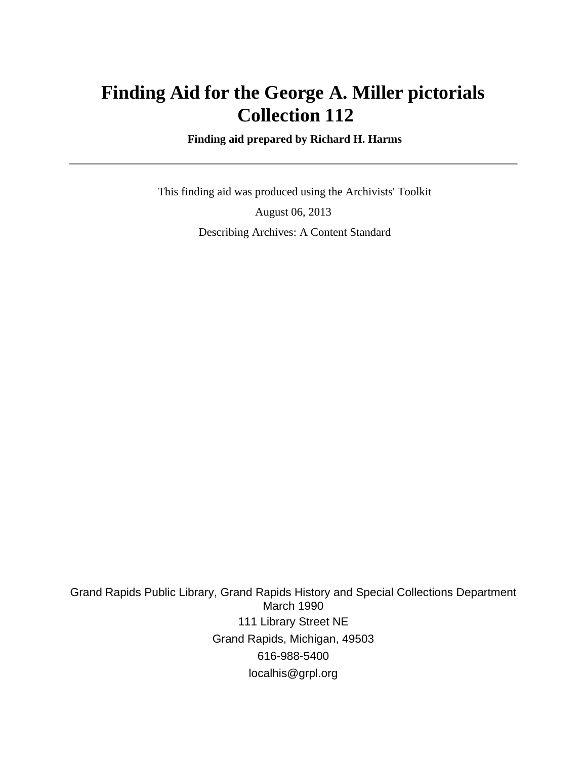# **Finding Aid for the George A. Miller pictorials Collection 112**

 **Finding aid prepared by Richard H. Harms**

 This finding aid was produced using the Archivists' Toolkit August 06, 2013 Describing Archives: A Content Standard

Grand Rapids Public Library, Grand Rapids History and Special Collections Department March 1990 111 Library Street NE Grand Rapids, Michigan, 49503 616-988-5400 localhis@grpl.org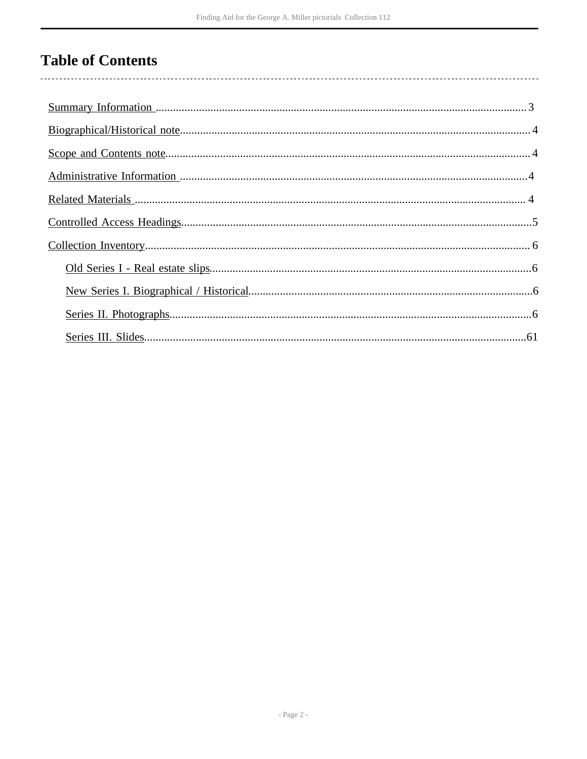# **Table of Contents**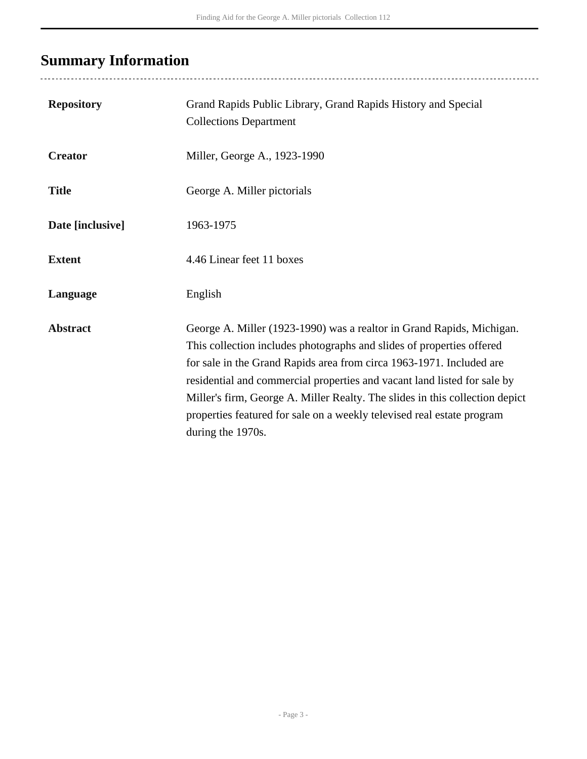# <span id="page-2-0"></span>**Summary Information**

| <b>Repository</b> | Grand Rapids Public Library, Grand Rapids History and Special<br><b>Collections Department</b>                                                                                                                                                                                                                                                                                                                                                                                    |
|-------------------|-----------------------------------------------------------------------------------------------------------------------------------------------------------------------------------------------------------------------------------------------------------------------------------------------------------------------------------------------------------------------------------------------------------------------------------------------------------------------------------|
| <b>Creator</b>    | Miller, George A., 1923-1990                                                                                                                                                                                                                                                                                                                                                                                                                                                      |
| <b>Title</b>      | George A. Miller pictorials                                                                                                                                                                                                                                                                                                                                                                                                                                                       |
| Date [inclusive]  | 1963-1975                                                                                                                                                                                                                                                                                                                                                                                                                                                                         |
| <b>Extent</b>     | 4.46 Linear feet 11 boxes                                                                                                                                                                                                                                                                                                                                                                                                                                                         |
| Language          | English                                                                                                                                                                                                                                                                                                                                                                                                                                                                           |
| <b>Abstract</b>   | George A. Miller (1923-1990) was a realtor in Grand Rapids, Michigan.<br>This collection includes photographs and slides of properties offered<br>for sale in the Grand Rapids area from circa 1963-1971. Included are<br>residential and commercial properties and vacant land listed for sale by<br>Miller's firm, George A. Miller Realty. The slides in this collection depict<br>properties featured for sale on a weekly televised real estate program<br>during the 1970s. |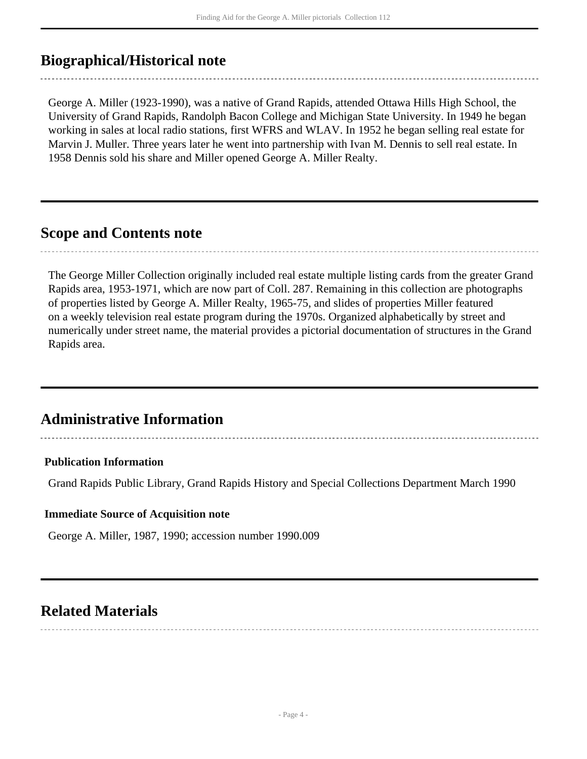## <span id="page-3-0"></span>**Biographical/Historical note**

George A. Miller (1923-1990), was a native of Grand Rapids, attended Ottawa Hills High School, the University of Grand Rapids, Randolph Bacon College and Michigan State University. In 1949 he began working in sales at local radio stations, first WFRS and WLAV. In 1952 he began selling real estate for Marvin J. Muller. Three years later he went into partnership with Ivan M. Dennis to sell real estate. In 1958 Dennis sold his share and Miller opened George A. Miller Realty.

## <span id="page-3-1"></span>**Scope and Contents note**

The George Miller Collection originally included real estate multiple listing cards from the greater Grand Rapids area, 1953-1971, which are now part of Coll. 287. Remaining in this collection are photographs of properties listed by George A. Miller Realty, 1965-75, and slides of properties Miller featured on a weekly television real estate program during the 1970s. Organized alphabetically by street and numerically under street name, the material provides a pictorial documentation of structures in the Grand Rapids area.

# <span id="page-3-2"></span>**Administrative Information**

### **Publication Information**

Grand Rapids Public Library, Grand Rapids History and Special Collections Department March 1990

#### **Immediate Source of Acquisition note**

George A. Miller, 1987, 1990; accession number 1990.009

## <span id="page-3-3"></span>**Related Materials**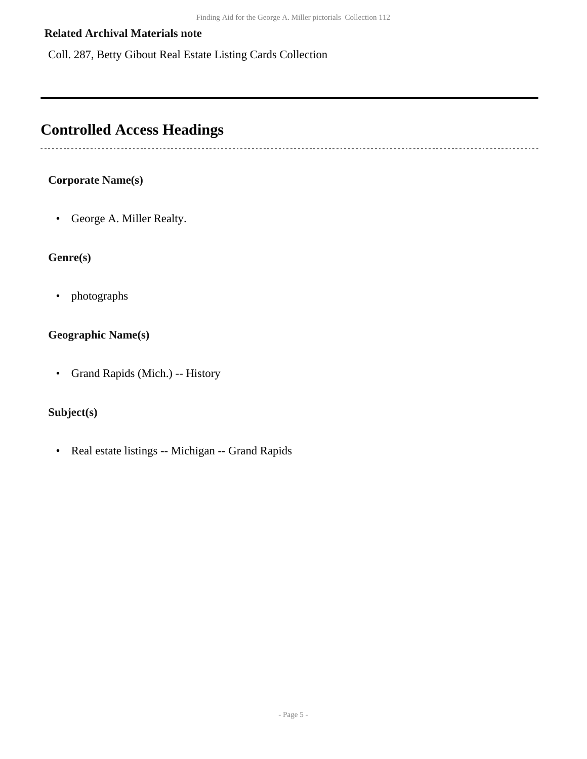### **Related Archival Materials note**

Coll. 287, Betty Gibout Real Estate Listing Cards Collection

# <span id="page-4-0"></span>**Controlled Access Headings**

### **Corporate Name(s)**

• George A. Miller Realty.

### **Genre(s)**

• photographs

## **Geographic Name(s)**

• Grand Rapids (Mich.) -- History

## **Subject(s)**

• Real estate listings -- Michigan -- Grand Rapids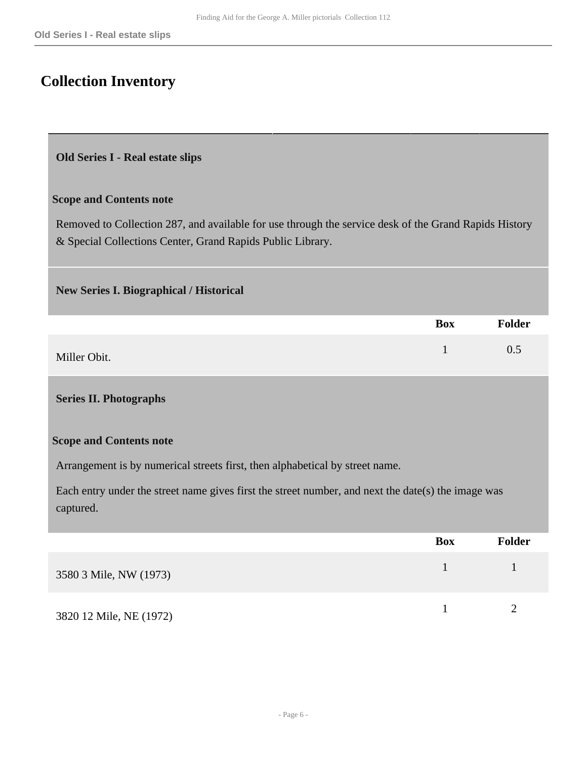# <span id="page-5-0"></span>**Collection Inventory**

#### <span id="page-5-1"></span>**Old Series I - Real estate slips**

#### **Scope and Contents note**

Removed to Collection 287, and available for use through the service desk of the Grand Rapids History & Special Collections Center, Grand Rapids Public Library.

#### <span id="page-5-2"></span>**New Series I. Biographical / Historical**

|              | <b>Box</b> | Folder |
|--------------|------------|--------|
| Miller Obit. |            | 0.5    |

#### <span id="page-5-3"></span>**Series II. Photographs**

#### **Scope and Contents note**

Arrangement is by numerical streets first, then alphabetical by street name.

Each entry under the street name gives first the street number, and next the date(s) the image was captured.

|                         | <b>Box</b> | Folder |
|-------------------------|------------|--------|
| 3580 3 Mile, NW (1973)  |            |        |
| 3820 12 Mile, NE (1972) |            |        |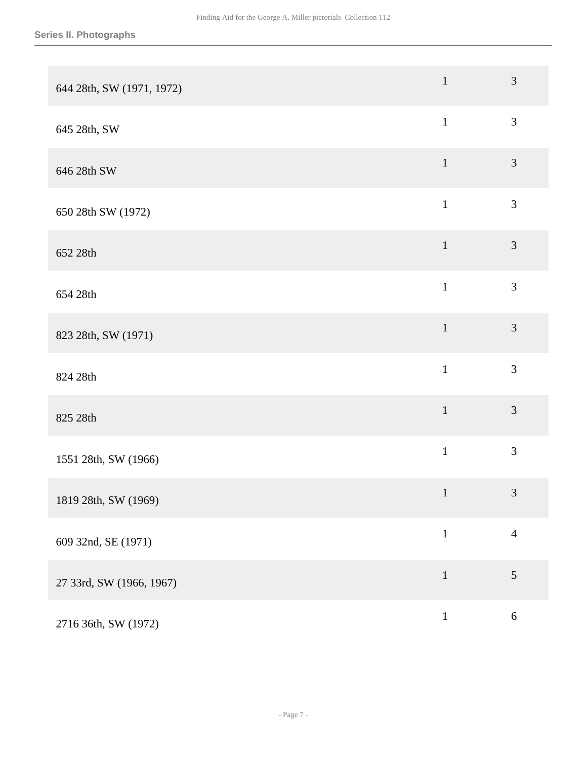| 644 28th, SW (1971, 1972) | $\mathbf{1}$ | $\mathfrak{Z}$ |
|---------------------------|--------------|----------------|
| 645 28th, SW              | $\mathbf{1}$ | 3              |
| 646 28th SW               | $\mathbf{1}$ | $\mathfrak{Z}$ |
| 650 28th SW (1972)        | $\mathbf 1$  | 3              |
| 652 28th                  | $\mathbf 1$  | $\mathfrak{Z}$ |
| 654 28th                  | $\mathbf{1}$ | 3              |
| 823 28th, SW (1971)       | $1\,$        | 3              |
| 824 28th                  | $\mathbf{1}$ | 3              |
| 825 28th                  | $\mathbf 1$  | 3              |
| 1551 28th, SW (1966)      | $\,1\,$      | 3              |
| 1819 28th, SW (1969)      | $\mathbf{1}$ | $\mathfrak{Z}$ |
| 609 32nd, SE (1971)       | $\,1\,$      | $\overline{4}$ |
| 27 33rd, SW (1966, 1967)  | $\mathbf{1}$ | $\sqrt{5}$     |
| 2716 36th, SW (1972)      | $\mathbf 1$  | $6\,$          |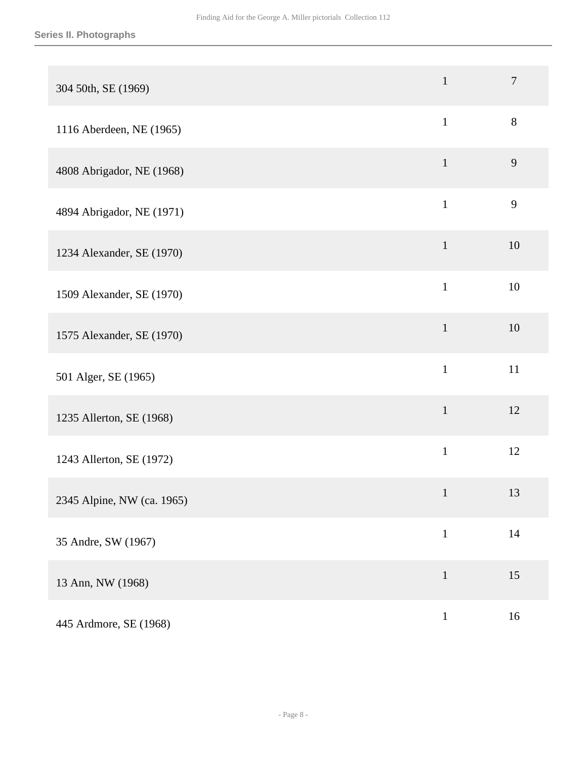| 304 50th, SE (1969)        | $\mathbf{1}$ | $\overline{7}$ |
|----------------------------|--------------|----------------|
| 1116 Aberdeen, NE (1965)   | $\mathbf{1}$ | $8\,$          |
| 4808 Abrigador, NE (1968)  | $\mathbf{1}$ | 9              |
| 4894 Abrigador, NE (1971)  | $\mathbf{1}$ | 9              |
| 1234 Alexander, SE (1970)  | $\mathbf{1}$ | 10             |
| 1509 Alexander, SE (1970)  | $\mathbf{1}$ | 10             |
| 1575 Alexander, SE (1970)  | $\mathbf{1}$ | 10             |
| 501 Alger, SE (1965)       | $\mathbf{1}$ | 11             |
| 1235 Allerton, SE (1968)   | $\mathbf{1}$ | 12             |
| 1243 Allerton, SE (1972)   | $\mathbf{1}$ | 12             |
| 2345 Alpine, NW (ca. 1965) | $\mathbf{1}$ | 13             |
| 35 Andre, SW (1967)        | $\mathbf{1}$ | $14$           |
| 13 Ann, NW (1968)          | $\mathbf{1}$ | 15             |
| 445 Ardmore, SE (1968)     | $\,1\,$      | 16             |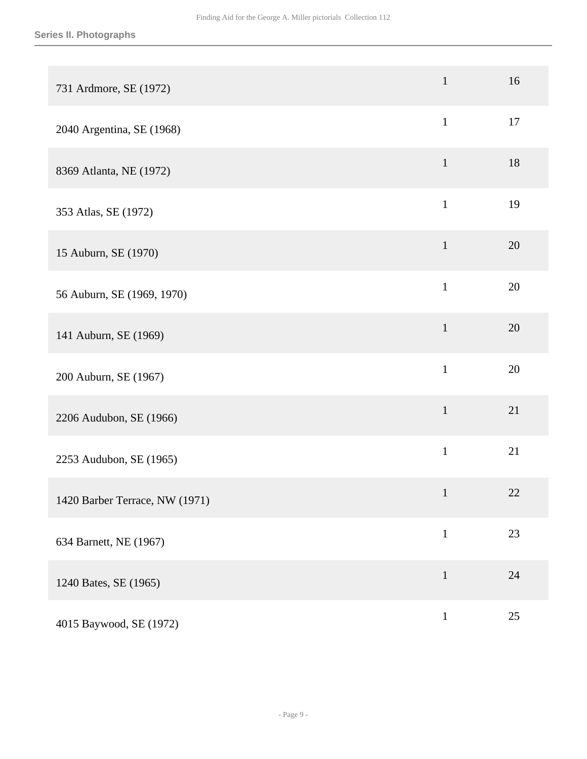| 731 Ardmore, SE (1972)         | $\mathbf{1}$ | 16     |
|--------------------------------|--------------|--------|
| 2040 Argentina, SE (1968)      | $\mathbf{1}$ | 17     |
| 8369 Atlanta, NE (1972)        | $\mathbf{1}$ | 18     |
| 353 Atlas, SE (1972)           | $\mathbf{1}$ | 19     |
| 15 Auburn, SE (1970)           | $\mathbf{1}$ | 20     |
| 56 Auburn, SE (1969, 1970)     | $\mathbf{1}$ | 20     |
| 141 Auburn, SE (1969)          | $\mathbf{1}$ | 20     |
| 200 Auburn, SE (1967)          | $\mathbf{1}$ | 20     |
| 2206 Audubon, SE (1966)        | $\mathbf 1$  | 21     |
| 2253 Audubon, SE (1965)        | $\mathbf{1}$ | 21     |
| 1420 Barber Terrace, NW (1971) | $\mathbf{1}$ | $22\,$ |
| 634 Barnett, NE (1967)         | $\mathbf{1}$ | 23     |
| 1240 Bates, SE (1965)          | $\mathbf{1}$ | 24     |
| 4015 Baywood, SE (1972)        | $\mathbf{1}$ | $25\,$ |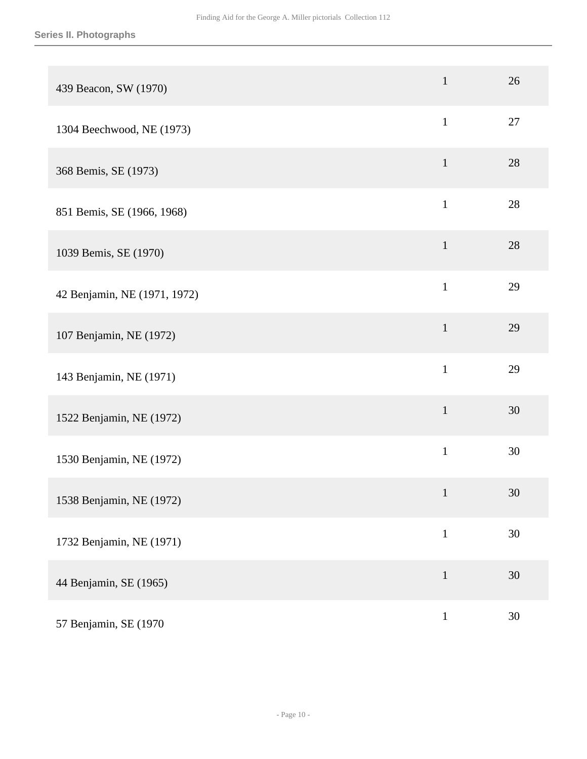| 439 Beacon, SW (1970)        | $\mathbf{1}$ | 26 |
|------------------------------|--------------|----|
| 1304 Beechwood, NE (1973)    | $\mathbf{1}$ | 27 |
| 368 Bemis, SE (1973)         | $\mathbf{1}$ | 28 |
| 851 Bemis, SE (1966, 1968)   | $\mathbf{1}$ | 28 |
| 1039 Bemis, SE (1970)        | $\mathbf{1}$ | 28 |
| 42 Benjamin, NE (1971, 1972) | $\mathbf{1}$ | 29 |
| 107 Benjamin, NE (1972)      | $\mathbf{1}$ | 29 |
| 143 Benjamin, NE (1971)      | $\mathbf{1}$ | 29 |
| 1522 Benjamin, NE (1972)     | $\mathbf{1}$ | 30 |
| 1530 Benjamin, NE (1972)     | $\mathbf{1}$ | 30 |
| 1538 Benjamin, NE (1972)     | $\mathbf{1}$ | 30 |
| 1732 Benjamin, NE (1971)     | $\mathbf 1$  | 30 |
| 44 Benjamin, SE (1965)       | $1\,$        | 30 |
| 57 Benjamin, SE (1970)       | $\,1$        | 30 |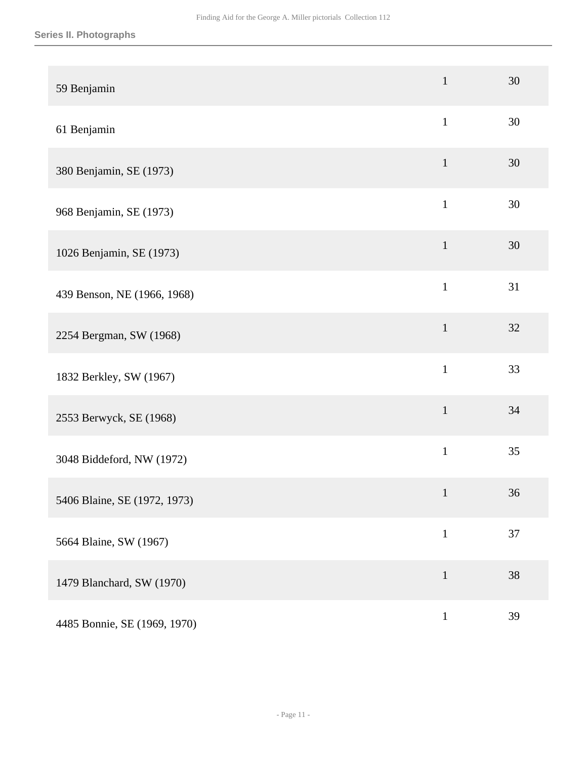### **Series II. Photographs**

| 59 Benjamin                  | $\mathbf{1}$ | 30 |
|------------------------------|--------------|----|
| 61 Benjamin                  | $\mathbf{1}$ | 30 |
| 380 Benjamin, SE (1973)      | $\mathbf{1}$ | 30 |
| 968 Benjamin, SE (1973)      | $\mathbf{1}$ | 30 |
| 1026 Benjamin, SE (1973)     | $\mathbf{1}$ | 30 |
| 439 Benson, NE (1966, 1968)  | $\mathbf{1}$ | 31 |
| 2254 Bergman, SW (1968)      | $\mathbf{1}$ | 32 |
| 1832 Berkley, SW (1967)      | $\mathbf{1}$ | 33 |
| 2553 Berwyck, SE (1968)      | $\mathbf{1}$ | 34 |
| 3048 Biddeford, NW (1972)    | $\mathbf{1}$ | 35 |
| 5406 Blaine, SE (1972, 1973) | $\mathbf{1}$ | 36 |
| 5664 Blaine, SW (1967)       | $\mathbf{1}$ | 37 |
| 1479 Blanchard, SW (1970)    | $\mathbf{1}$ | 38 |
| 4485 Bonnie, SE (1969, 1970) | $\mathbf{1}$ | 39 |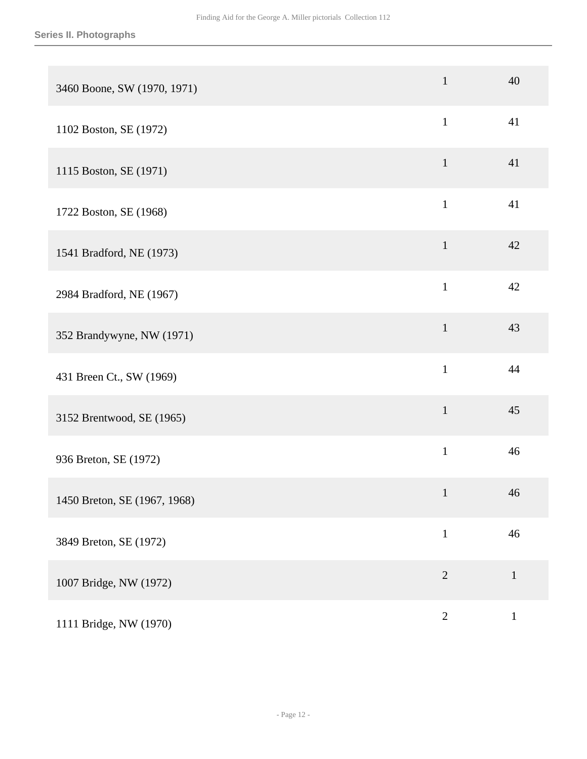| 3460 Boone, SW (1970, 1971)  | $\mathbf{1}$ | 40           |
|------------------------------|--------------|--------------|
| 1102 Boston, SE (1972)       | $\mathbf{1}$ | 41           |
| 1115 Boston, SE (1971)       | $\mathbf{1}$ | 41           |
| 1722 Boston, SE (1968)       | $\mathbf{1}$ | 41           |
| 1541 Bradford, NE (1973)     | $\mathbf{1}$ | 42           |
| 2984 Bradford, NE (1967)     | $\mathbf{1}$ | 42           |
| 352 Brandywyne, NW (1971)    | $\mathbf{1}$ | 43           |
| 431 Breen Ct., SW (1969)     | $\mathbf{1}$ | 44           |
| 3152 Brentwood, SE (1965)    | $\mathbf{1}$ | 45           |
| 936 Breton, SE (1972)        | $\mathbf{1}$ | 46           |
| 1450 Breton, SE (1967, 1968) | $\mathbf{1}$ | 46           |
| 3849 Breton, SE (1972)       | $\,1$        | 46           |
| 1007 Bridge, NW (1972)       | $\sqrt{2}$   | $\mathbf{1}$ |
| 1111 Bridge, NW (1970)       | $\sqrt{2}$   | $\,1$        |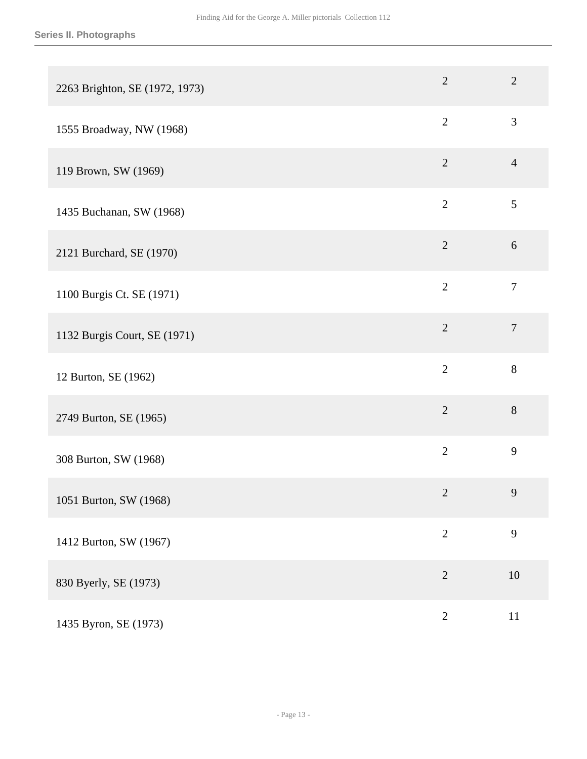| 2263 Brighton, SE (1972, 1973) | $\overline{2}$ | $\overline{2}$ |
|--------------------------------|----------------|----------------|
| 1555 Broadway, NW (1968)       | $\overline{2}$ | 3              |
| 119 Brown, SW (1969)           | $\overline{2}$ | $\overline{4}$ |
| 1435 Buchanan, SW (1968)       | $\overline{2}$ | 5              |
| 2121 Burchard, SE (1970)       | $\overline{2}$ | $6\,$          |
| 1100 Burgis Ct. SE (1971)      | $\overline{2}$ | $\tau$         |
| 1132 Burgis Court, SE (1971)   | $\overline{2}$ | $\overline{7}$ |
| 12 Burton, SE (1962)           | $\overline{2}$ | 8              |
| 2749 Burton, SE (1965)         | $\overline{2}$ | 8              |
| 308 Burton, SW (1968)          | $\overline{2}$ | 9              |
| 1051 Burton, SW (1968)         | $\overline{2}$ | 9              |
| 1412 Burton, SW (1967)         | $\overline{2}$ | 9              |
| 830 Byerly, SE (1973)          | $\overline{2}$ | $10\,$         |
| 1435 Byron, SE (1973)          | $\sqrt{2}$     | $11\,$         |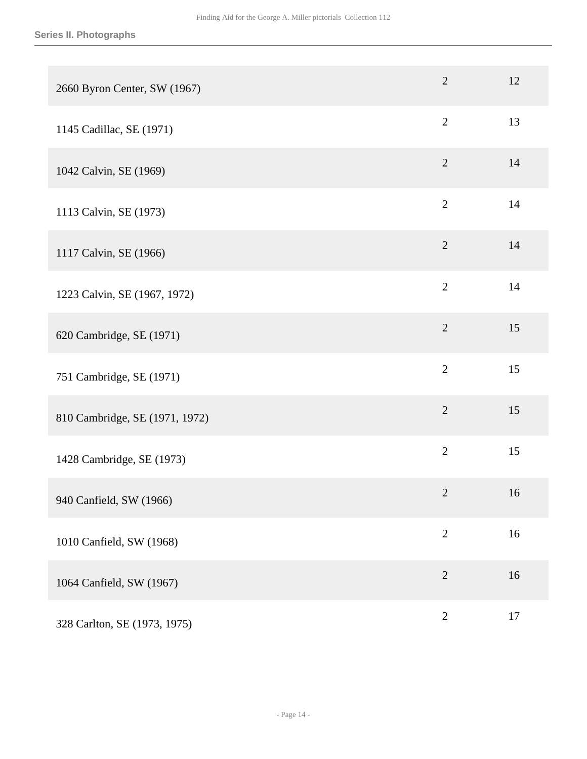| 2660 Byron Center, SW (1967)   | $\overline{2}$ | 12     |
|--------------------------------|----------------|--------|
| 1145 Cadillac, SE (1971)       | $\mathbf{2}$   | 13     |
| 1042 Calvin, SE (1969)         | $\overline{2}$ | 14     |
| 1113 Calvin, SE (1973)         | $\overline{2}$ | 14     |
| 1117 Calvin, SE (1966)         | $\sqrt{2}$     | 14     |
| 1223 Calvin, SE (1967, 1972)   | $\overline{2}$ | 14     |
| 620 Cambridge, SE (1971)       | $\overline{2}$ | 15     |
| 751 Cambridge, SE (1971)       | $\overline{2}$ | 15     |
| 810 Cambridge, SE (1971, 1972) | $\overline{2}$ | 15     |
| 1428 Cambridge, SE (1973)      | $\overline{2}$ | 15     |
| 940 Canfield, SW (1966)        | $\overline{2}$ | 16     |
| 1010 Canfield, SW (1968)       | $\overline{2}$ | 16     |
| 1064 Canfield, SW (1967)       | $\overline{2}$ | 16     |
| 328 Carlton, SE (1973, 1975)   | $\sqrt{2}$     | $17\,$ |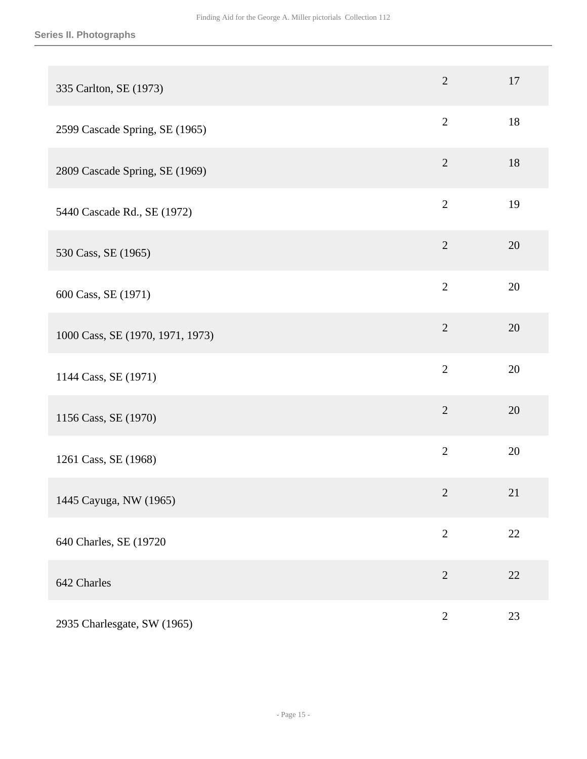| 335 Carlton, SE (1973)           | $\overline{2}$ | 17 |
|----------------------------------|----------------|----|
| 2599 Cascade Spring, SE (1965)   | $\overline{2}$ | 18 |
| 2809 Cascade Spring, SE (1969)   | $\overline{2}$ | 18 |
| 5440 Cascade Rd., SE (1972)      | $\overline{2}$ | 19 |
| 530 Cass, SE (1965)              | $\mathbf{2}$   | 20 |
| 600 Cass, SE (1971)              | $\overline{2}$ | 20 |
| 1000 Cass, SE (1970, 1971, 1973) | $\overline{2}$ | 20 |
| 1144 Cass, SE (1971)             | $\overline{2}$ | 20 |
| 1156 Cass, SE (1970)             | $\overline{2}$ | 20 |
| 1261 Cass, SE (1968)             | $\mathbf{2}$   | 20 |
| 1445 Cayuga, NW (1965)           | $\overline{2}$ | 21 |
| 640 Charles, SE (19720           | $\sqrt{2}$     | 22 |
| 642 Charles                      | $\sqrt{2}$     | 22 |
| 2935 Charlesgate, SW (1965)      | $\sqrt{2}$     | 23 |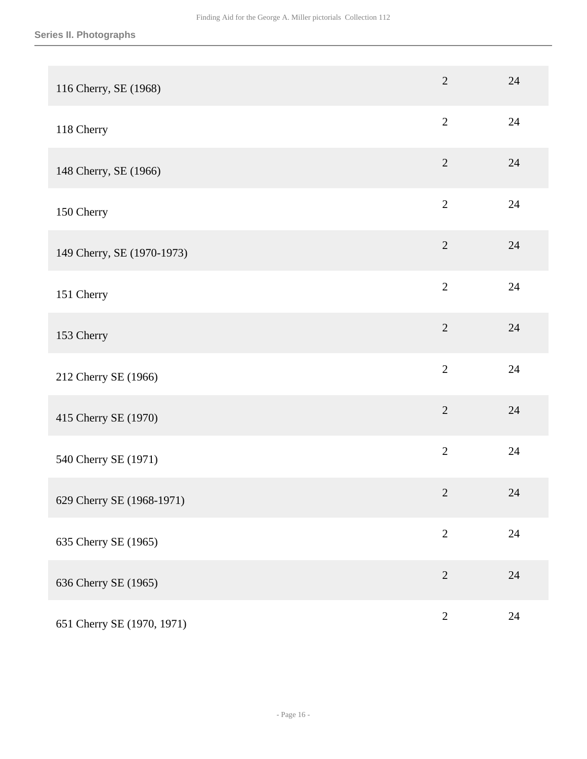| 116 Cherry, SE (1968)      | $\overline{2}$ | 24     |
|----------------------------|----------------|--------|
| 118 Cherry                 | $\overline{2}$ | 24     |
| 148 Cherry, SE (1966)      | $\overline{2}$ | 24     |
| 150 Cherry                 | $\overline{2}$ | 24     |
| 149 Cherry, SE (1970-1973) | $\sqrt{2}$     | 24     |
| 151 Cherry                 | $\overline{2}$ | 24     |
| 153 Cherry                 | $\overline{2}$ | 24     |
| 212 Cherry SE (1966)       | $\overline{2}$ | 24     |
| 415 Cherry SE (1970)       | $\overline{2}$ | 24     |
| 540 Cherry SE (1971)       | $\overline{2}$ | 24     |
| 629 Cherry SE (1968-1971)  | $\sqrt{2}$     | 24     |
| 635 Cherry SE (1965)       | $\sqrt{2}$     | $24\,$ |
| 636 Cherry SE (1965)       | $\overline{2}$ | 24     |
| 651 Cherry SE (1970, 1971) | $\sqrt{2}$     | 24     |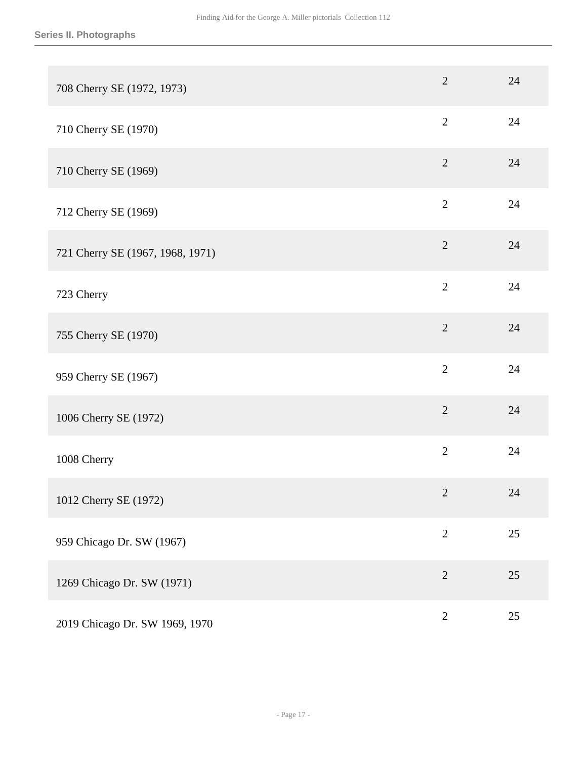| 708 Cherry SE (1972, 1973)       | $\overline{2}$ | 24 |
|----------------------------------|----------------|----|
| 710 Cherry SE (1970)             | $\overline{2}$ | 24 |
| 710 Cherry SE (1969)             | $\overline{2}$ | 24 |
| 712 Cherry SE (1969)             | $\mathbf{2}$   | 24 |
| 721 Cherry SE (1967, 1968, 1971) | $\overline{2}$ | 24 |
| 723 Cherry                       | $\overline{2}$ | 24 |
| 755 Cherry SE (1970)             | $\overline{2}$ | 24 |
| 959 Cherry SE (1967)             | $\overline{2}$ | 24 |
| 1006 Cherry SE (1972)            | $\overline{2}$ | 24 |
| 1008 Cherry                      | $\overline{2}$ | 24 |
| 1012 Cherry SE (1972)            | $\overline{2}$ | 24 |
| 959 Chicago Dr. SW (1967)        | $\sqrt{2}$     | 25 |
| 1269 Chicago Dr. SW (1971)       | $\overline{2}$ | 25 |
| 2019 Chicago Dr. SW 1969, 1970   | $\sqrt{2}$     | 25 |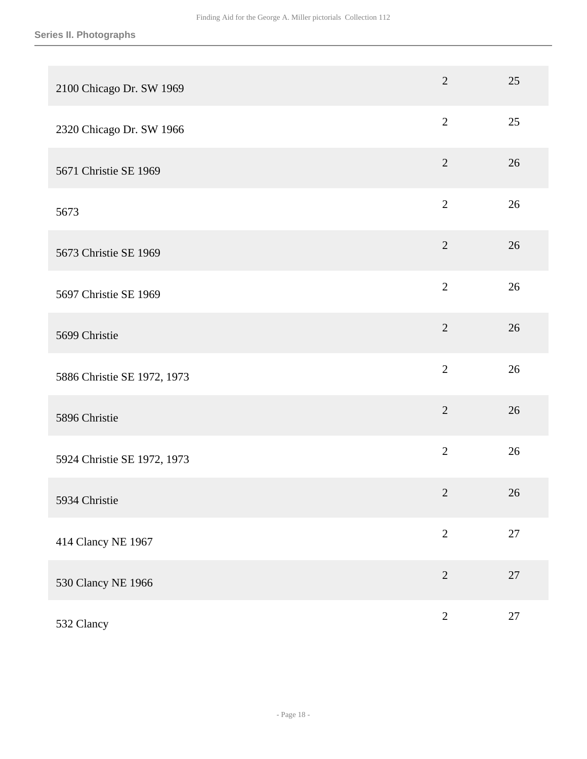| 2100 Chicago Dr. SW 1969    | $\overline{2}$ | 25     |
|-----------------------------|----------------|--------|
| 2320 Chicago Dr. SW 1966    | $\overline{2}$ | 25     |
| 5671 Christie SE 1969       | $\overline{2}$ | 26     |
| 5673                        | $\mathbf{2}$   | 26     |
| 5673 Christie SE 1969       | $\sqrt{2}$     | 26     |
| 5697 Christie SE 1969       | $\overline{2}$ | 26     |
| 5699 Christie               | $\overline{2}$ | 26     |
| 5886 Christie SE 1972, 1973 | $\overline{2}$ | 26     |
| 5896 Christie               | $\overline{2}$ | 26     |
| 5924 Christie SE 1972, 1973 | $\mathbf{2}$   | 26     |
| 5934 Christie               | $\sqrt{2}$     | 26     |
| 414 Clancy NE 1967          | $\overline{2}$ | $27\,$ |
| 530 Clancy NE 1966          | $\overline{2}$ | $27\,$ |
| 532 Clancy                  | $\overline{2}$ | $27\,$ |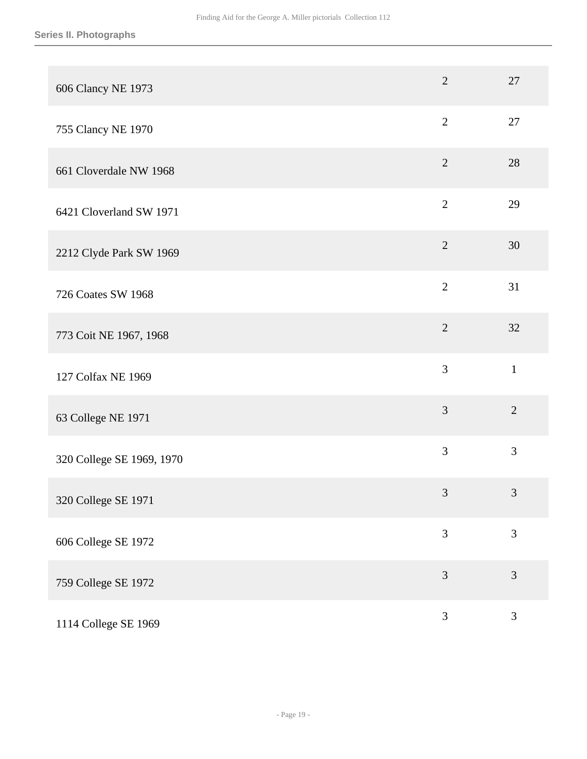| 606 Clancy NE 1973        | $\overline{2}$ | 27             |
|---------------------------|----------------|----------------|
| 755 Clancy NE 1970        | $\overline{2}$ | 27             |
| 661 Cloverdale NW 1968    | $\overline{2}$ | 28             |
| 6421 Cloverland SW 1971   | $\overline{2}$ | 29             |
| 2212 Clyde Park SW 1969   | $\overline{2}$ | 30             |
| 726 Coates SW 1968        | $\overline{2}$ | 31             |
| 773 Coit NE 1967, 1968    | $\overline{2}$ | 32             |
| 127 Colfax NE 1969        | 3              | $\mathbf{1}$   |
| 63 College NE 1971        | 3              | $\overline{2}$ |
| 320 College SE 1969, 1970 | 3              | 3              |
| 320 College SE 1971       | $\mathfrak{Z}$ | $\mathfrak{Z}$ |
| 606 College SE 1972       | 3              | 3              |
| 759 College SE 1972       | $\mathfrak{Z}$ | $\mathfrak{Z}$ |
| 1114 College SE 1969      | $\mathfrak{Z}$ | $\mathfrak{Z}$ |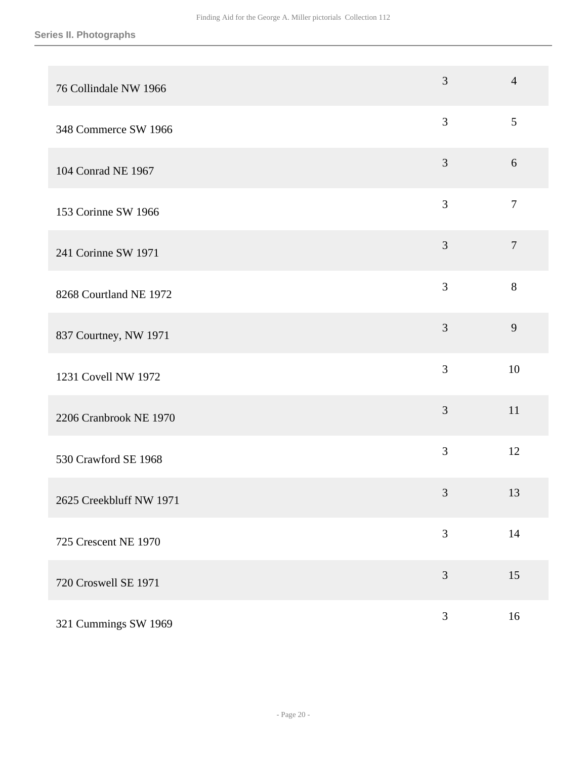| 76 Collindale NW 1966   | 3              | $\overline{4}$ |
|-------------------------|----------------|----------------|
| 348 Commerce SW 1966    | $\mathfrak{Z}$ | 5              |
| 104 Conrad NE 1967      | $\mathfrak{Z}$ | 6              |
| 153 Corinne SW 1966     | 3              | $\overline{7}$ |
| 241 Corinne SW 1971     | $\mathfrak{Z}$ | $\overline{7}$ |
| 8268 Courtland NE 1972  | 3              | 8              |
| 837 Courtney, NW 1971   | 3              | 9              |
| 1231 Covell NW 1972     | 3              | 10             |
| 2206 Cranbrook NE 1970  | 3              | 11             |
| 530 Crawford SE 1968    | 3              | 12             |
| 2625 Creekbluff NW 1971 | $\mathfrak{Z}$ | 13             |
| 725 Crescent NE 1970    | 3              | 14             |
| 720 Croswell SE 1971    | 3              | 15             |
| 321 Cummings SW 1969    | $\mathfrak{Z}$ | 16             |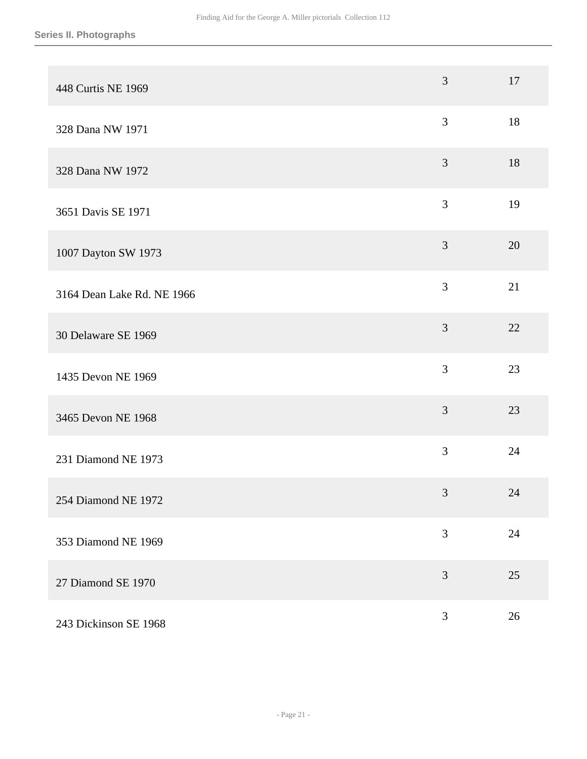| 448 Curtis NE 1969         | 3              | 17 |
|----------------------------|----------------|----|
| 328 Dana NW 1971           | 3              | 18 |
| 328 Dana NW 1972           | $\mathfrak{Z}$ | 18 |
| 3651 Davis SE 1971         | 3              | 19 |
| 1007 Dayton SW 1973        | $\mathfrak{Z}$ | 20 |
| 3164 Dean Lake Rd. NE 1966 | 3              | 21 |
| 30 Delaware SE 1969        | 3              | 22 |
| 1435 Devon NE 1969         | 3              | 23 |
| 3465 Devon NE 1968         | 3              | 23 |
| 231 Diamond NE 1973        | 3              | 24 |
| 254 Diamond NE 1972        | $\mathfrak{Z}$ | 24 |
| 353 Diamond NE 1969        | 3              | 24 |
| 27 Diamond SE 1970         | 3              | 25 |
| 243 Dickinson SE 1968      | $\mathfrak{Z}$ | 26 |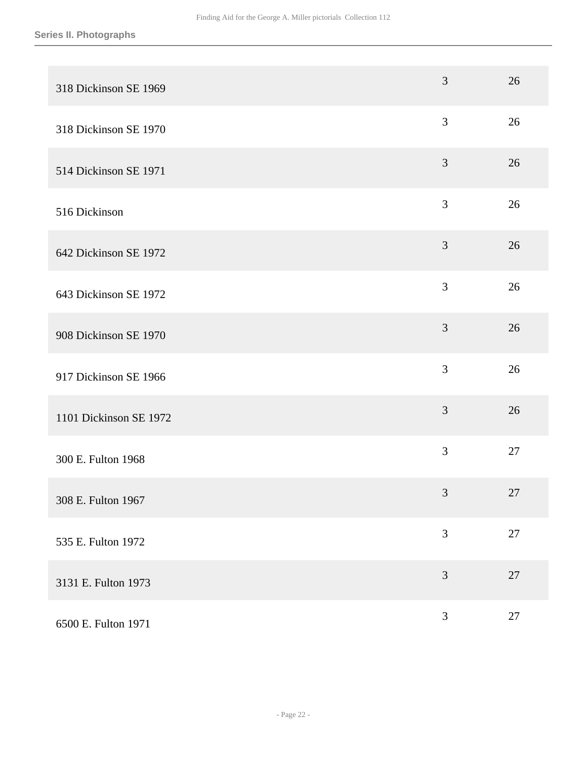| 318 Dickinson SE 1969  | 3              | 26     |
|------------------------|----------------|--------|
| 318 Dickinson SE 1970  | 3              | 26     |
| 514 Dickinson SE 1971  | 3              | 26     |
| 516 Dickinson          | 3              | 26     |
| 642 Dickinson SE 1972  | $\mathfrak{Z}$ | 26     |
| 643 Dickinson SE 1972  | 3              | 26     |
| 908 Dickinson SE 1970  | 3              | 26     |
| 917 Dickinson SE 1966  | 3              | 26     |
| 1101 Dickinson SE 1972 | 3              | 26     |
| 300 E. Fulton 1968     | 3              | 27     |
| 308 E. Fulton 1967     | $\mathfrak{Z}$ | 27     |
| 535 E. Fulton 1972     | 3              | $27\,$ |
| 3131 E. Fulton 1973    | $\mathfrak{Z}$ | 27     |
| 6500 E. Fulton 1971    | $\mathfrak{Z}$ | $27\,$ |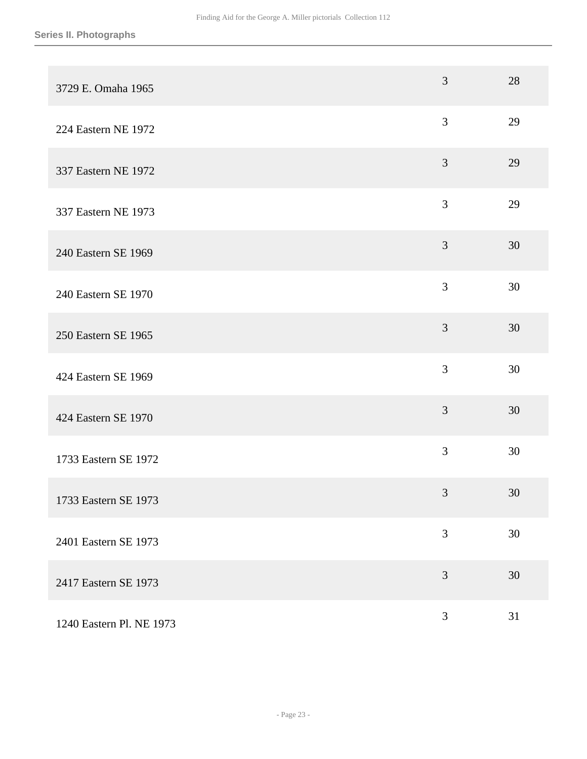| 3729 E. Omaha 1965       | 3              | 28 |
|--------------------------|----------------|----|
| 224 Eastern NE 1972      | 3              | 29 |
| 337 Eastern NE 1972      | 3              | 29 |
| 337 Eastern NE 1973      | 3              | 29 |
| 240 Eastern SE 1969      | 3              | 30 |
| 240 Eastern SE 1970      | 3              | 30 |
| 250 Eastern SE 1965      | 3              | 30 |
| 424 Eastern SE 1969      | 3              | 30 |
| 424 Eastern SE 1970      | 3              | 30 |
| 1733 Eastern SE 1972     | 3              | 30 |
| 1733 Eastern SE 1973     | $\mathfrak{Z}$ | 30 |
| 2401 Eastern SE 1973     | 3              | 30 |
| 2417 Eastern SE 1973     | 3              | 30 |
| 1240 Eastern Pl. NE 1973 | 3              | 31 |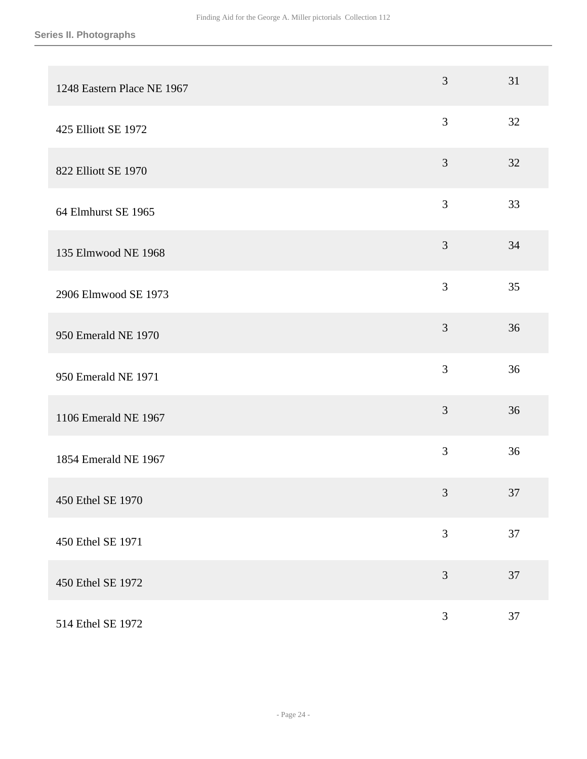| 1248 Eastern Place NE 1967 | 3              | 31 |
|----------------------------|----------------|----|
| 425 Elliott SE 1972        | 3              | 32 |
| 822 Elliott SE 1970        | 3              | 32 |
| 64 Elmhurst SE 1965        | 3              | 33 |
| 135 Elmwood NE 1968        | $\mathfrak{Z}$ | 34 |
| 2906 Elmwood SE 1973       | 3              | 35 |
| 950 Emerald NE 1970        | $\mathfrak{Z}$ | 36 |
| 950 Emerald NE 1971        | 3              | 36 |
| 1106 Emerald NE 1967       | 3              | 36 |
| 1854 Emerald NE 1967       | 3              | 36 |
| 450 Ethel SE 1970          | 3              | 37 |
| 450 Ethel SE 1971          | 3              | 37 |
| 450 Ethel SE 1972          | 3              | 37 |
| 514 Ethel SE 1972          | 3              | 37 |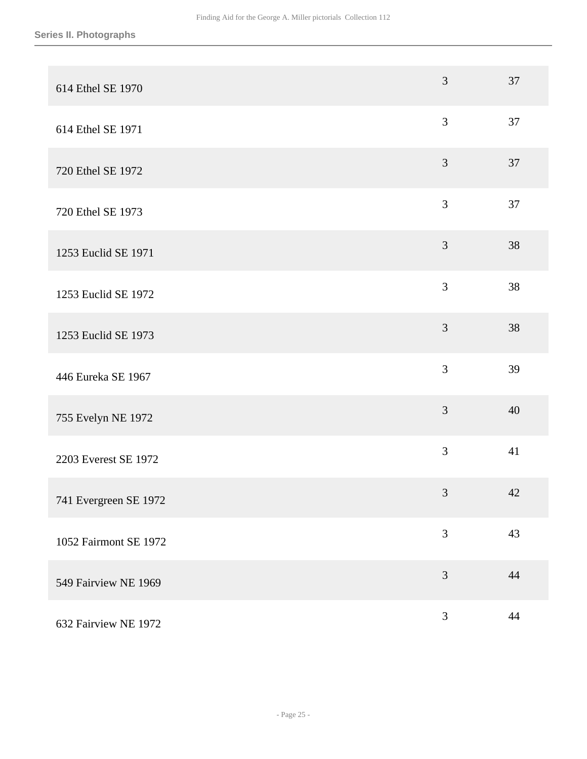| 614 Ethel SE 1970     | 3              | 37 |
|-----------------------|----------------|----|
| 614 Ethel SE 1971     | $\mathfrak{Z}$ | 37 |
| 720 Ethel SE 1972     | 3              | 37 |
| 720 Ethel SE 1973     | $\mathfrak{Z}$ | 37 |
| 1253 Euclid SE 1971   | 3              | 38 |
| 1253 Euclid SE 1972   | 3              | 38 |
| 1253 Euclid SE 1973   | 3              | 38 |
| 446 Eureka SE 1967    | 3              | 39 |
| 755 Evelyn NE 1972    | 3              | 40 |
| 2203 Everest SE 1972  | 3              | 41 |
| 741 Evergreen SE 1972 | $\mathfrak{Z}$ | 42 |
| 1052 Fairmont SE 1972 | 3              | 43 |
| 549 Fairview NE 1969  | $\mathfrak{Z}$ | 44 |
| 632 Fairview NE 1972  | $\mathfrak{Z}$ | 44 |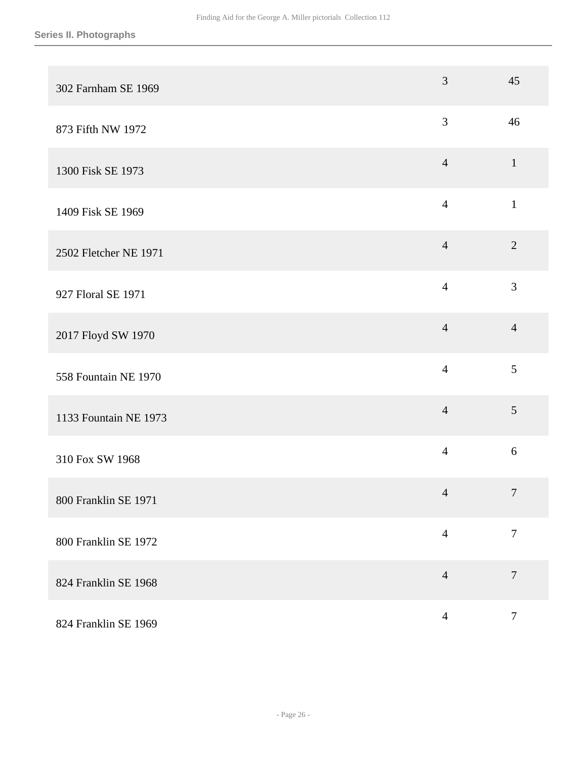| 302 Farnham SE 1969   | 3              | 45               |
|-----------------------|----------------|------------------|
| 873 Fifth NW 1972     | $\mathfrak{Z}$ | 46               |
| 1300 Fisk SE 1973     | $\overline{4}$ | $\mathbf{1}$     |
| 1409 Fisk SE 1969     | $\overline{4}$ | $\mathbf{1}$     |
| 2502 Fletcher NE 1971 | $\overline{4}$ | $\sqrt{2}$       |
| 927 Floral SE 1971    | $\overline{4}$ | 3                |
| 2017 Floyd SW 1970    | $\overline{4}$ | $\overline{4}$   |
| 558 Fountain NE 1970  | $\overline{4}$ | 5                |
| 1133 Fountain NE 1973 | $\overline{4}$ | 5                |
| 310 Fox SW 1968       | $\overline{4}$ | 6                |
| 800 Franklin SE 1971  | $\overline{4}$ | $\overline{7}$   |
| 800 Franklin SE 1972  | $\overline{4}$ | $\overline{7}$   |
| 824 Franklin SE 1968  | $\overline{4}$ | $\overline{7}$   |
| 824 Franklin SE 1969  | $\overline{4}$ | $\boldsymbol{7}$ |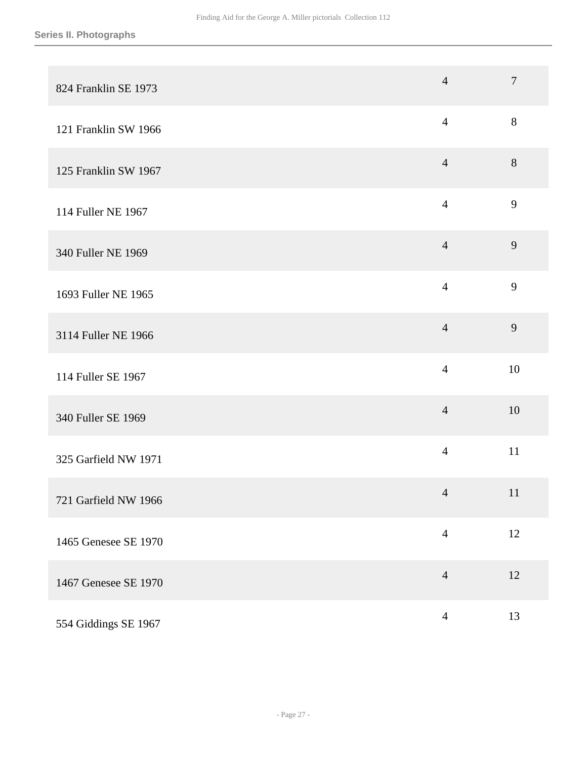| 824 Franklin SE 1973 | $\overline{4}$ | $\overline{7}$ |
|----------------------|----------------|----------------|
| 121 Franklin SW 1966 | $\overline{4}$ | 8              |
| 125 Franklin SW 1967 | $\overline{4}$ | $8\,$          |
| 114 Fuller NE 1967   | $\overline{4}$ | 9              |
| 340 Fuller NE 1969   | $\overline{4}$ | 9              |
| 1693 Fuller NE 1965  | $\overline{4}$ | 9              |
| 3114 Fuller NE 1966  | $\overline{4}$ | 9              |
| 114 Fuller SE 1967   | $\overline{4}$ | 10             |
| 340 Fuller SE 1969   | $\overline{4}$ | 10             |
| 325 Garfield NW 1971 | $\overline{4}$ | 11             |
| 721 Garfield NW 1966 | $\overline{4}$ | 11             |
| 1465 Genesee SE 1970 | $\overline{4}$ | 12             |
| 1467 Genesee SE 1970 | $\overline{4}$ | 12             |
| 554 Giddings SE 1967 | $\overline{4}$ | 13             |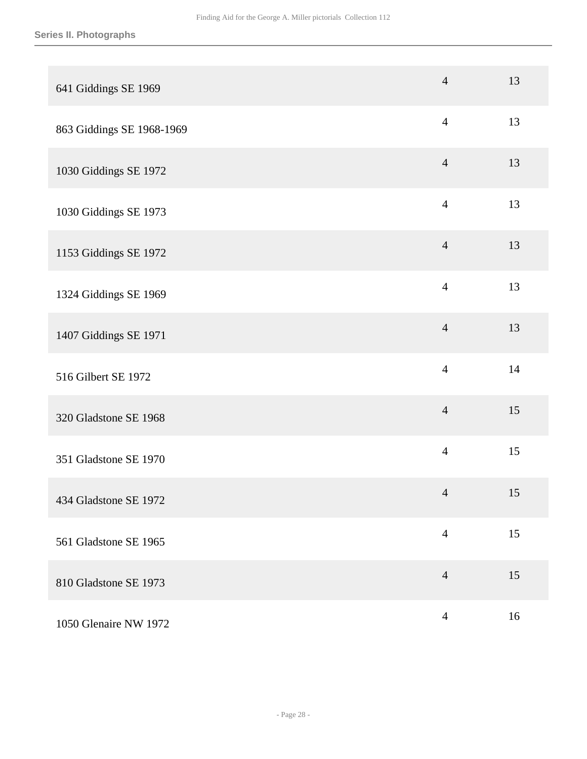| 641 Giddings SE 1969      | $\overline{4}$ | 13 |
|---------------------------|----------------|----|
| 863 Giddings SE 1968-1969 | $\overline{4}$ | 13 |
| 1030 Giddings SE 1972     | $\overline{4}$ | 13 |
| 1030 Giddings SE 1973     | $\overline{4}$ | 13 |
| 1153 Giddings SE 1972     | $\overline{4}$ | 13 |
| 1324 Giddings SE 1969     | $\overline{4}$ | 13 |
| 1407 Giddings SE 1971     | $\overline{4}$ | 13 |
| 516 Gilbert SE 1972       | $\overline{4}$ | 14 |
| 320 Gladstone SE 1968     | $\overline{4}$ | 15 |
| 351 Gladstone SE 1970     | $\overline{4}$ | 15 |
| 434 Gladstone SE 1972     | $\overline{4}$ | 15 |
| 561 Gladstone SE 1965     | $\overline{4}$ | 15 |
| 810 Gladstone SE 1973     | $\overline{4}$ | 15 |
| 1050 Glenaire NW 1972     | $\overline{4}$ | 16 |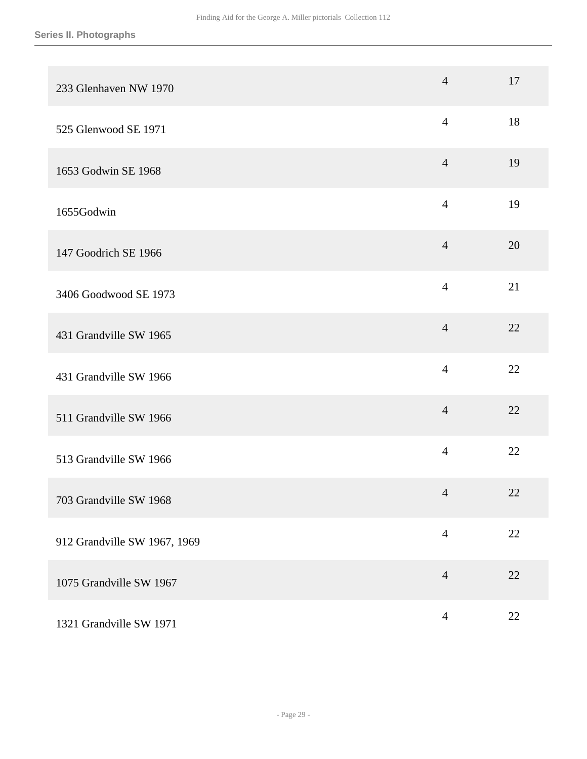| 233 Glenhaven NW 1970        | $\overline{4}$ | 17     |
|------------------------------|----------------|--------|
| 525 Glenwood SE 1971         | $\overline{4}$ | 18     |
| 1653 Godwin SE 1968          | $\overline{4}$ | 19     |
| 1655Godwin                   | $\overline{4}$ | 19     |
| 147 Goodrich SE 1966         | $\overline{4}$ | 20     |
| 3406 Goodwood SE 1973        | $\overline{4}$ | 21     |
| 431 Grandville SW 1965       | $\overline{4}$ | 22     |
| 431 Grandville SW 1966       | $\overline{4}$ | 22     |
| 511 Grandville SW 1966       | $\overline{4}$ | 22     |
| 513 Grandville SW 1966       | $\overline{4}$ | 22     |
| 703 Grandville SW 1968       | $\overline{4}$ | $22\,$ |
| 912 Grandville SW 1967, 1969 | $\overline{4}$ | $22\,$ |
| 1075 Grandville SW 1967      | $\overline{4}$ | 22     |
| 1321 Grandville SW 1971      | $\overline{4}$ | 22     |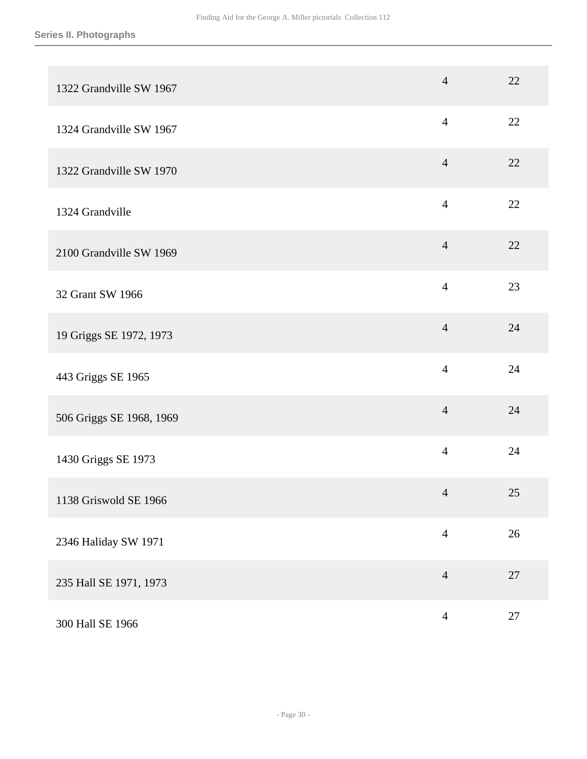| 1322 Grandville SW 1967  | $\overline{4}$ | 22     |
|--------------------------|----------------|--------|
| 1324 Grandville SW 1967  | $\overline{4}$ | 22     |
| 1322 Grandville SW 1970  | $\overline{4}$ | 22     |
| 1324 Grandville          | $\overline{4}$ | 22     |
| 2100 Grandville SW 1969  | $\overline{4}$ | 22     |
| 32 Grant SW 1966         | $\overline{4}$ | 23     |
| 19 Griggs SE 1972, 1973  | $\overline{4}$ | 24     |
| 443 Griggs SE 1965       | $\overline{4}$ | 24     |
| 506 Griggs SE 1968, 1969 | $\overline{4}$ | 24     |
| 1430 Griggs SE 1973      | $\overline{4}$ | 24     |
| 1138 Griswold SE 1966    | $\overline{4}$ | 25     |
| 2346 Haliday SW 1971     | $\overline{4}$ | $26\,$ |
| 235 Hall SE 1971, 1973   | $\overline{4}$ | 27     |
| 300 Hall SE 1966         | $\overline{4}$ | $27\,$ |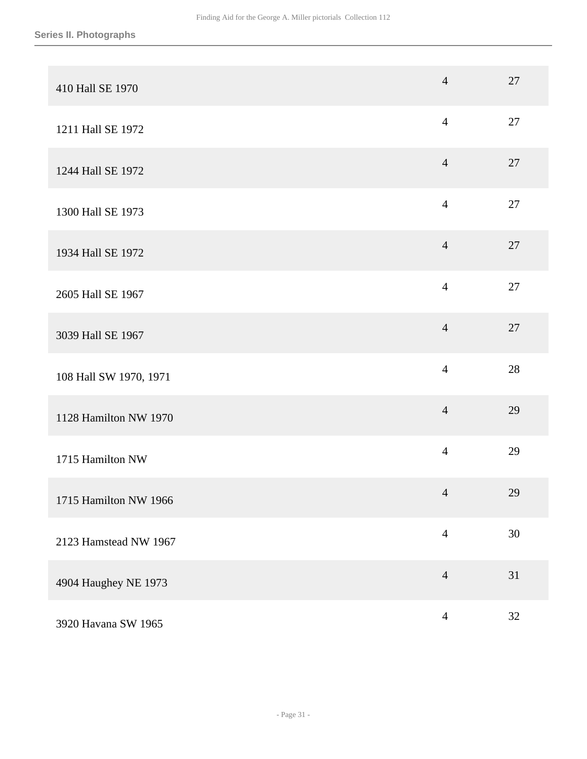| 410 Hall SE 1970       | $\overline{4}$ | 27 |
|------------------------|----------------|----|
| 1211 Hall SE 1972      | $\overline{4}$ | 27 |
| 1244 Hall SE 1972      | $\overline{4}$ | 27 |
| 1300 Hall SE 1973      | $\overline{4}$ | 27 |
| 1934 Hall SE 1972      | $\overline{4}$ | 27 |
| 2605 Hall SE 1967      | $\overline{4}$ | 27 |
| 3039 Hall SE 1967      | $\overline{4}$ | 27 |
| 108 Hall SW 1970, 1971 | $\overline{4}$ | 28 |
| 1128 Hamilton NW 1970  | $\overline{4}$ | 29 |
| 1715 Hamilton NW       | $\overline{4}$ | 29 |
| 1715 Hamilton NW 1966  | $\overline{4}$ | 29 |
| 2123 Hamstead NW 1967  | $\overline{4}$ | 30 |
| 4904 Haughey NE 1973   | $\overline{4}$ | 31 |
| 3920 Havana SW 1965    | $\overline{4}$ | 32 |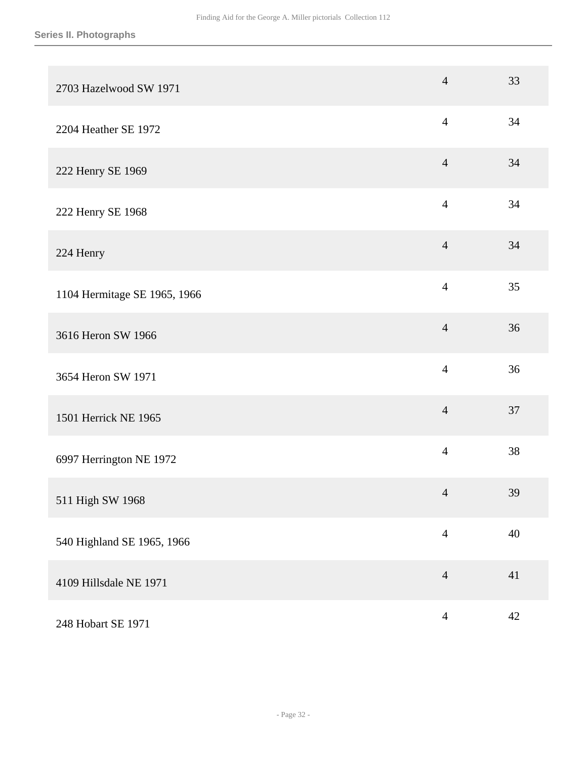| 2703 Hazelwood SW 1971       | $\overline{4}$ | 33     |
|------------------------------|----------------|--------|
| 2204 Heather SE 1972         | $\overline{4}$ | 34     |
| 222 Henry SE 1969            | $\overline{4}$ | 34     |
| 222 Henry SE 1968            | $\overline{4}$ | 34     |
| 224 Henry                    | $\overline{4}$ | 34     |
| 1104 Hermitage SE 1965, 1966 | $\overline{4}$ | 35     |
| 3616 Heron SW 1966           | $\overline{4}$ | 36     |
| 3654 Heron SW 1971           | $\overline{4}$ | 36     |
| 1501 Herrick NE 1965         | $\overline{4}$ | 37     |
| 6997 Herrington NE 1972      | $\overline{4}$ | 38     |
| 511 High SW 1968             | $\overline{4}$ | 39     |
| 540 Highland SE 1965, 1966   | $\overline{4}$ | $40\,$ |
| 4109 Hillsdale NE 1971       | $\overline{4}$ | 41     |
| 248 Hobart SE 1971           | $\overline{4}$ | $42\,$ |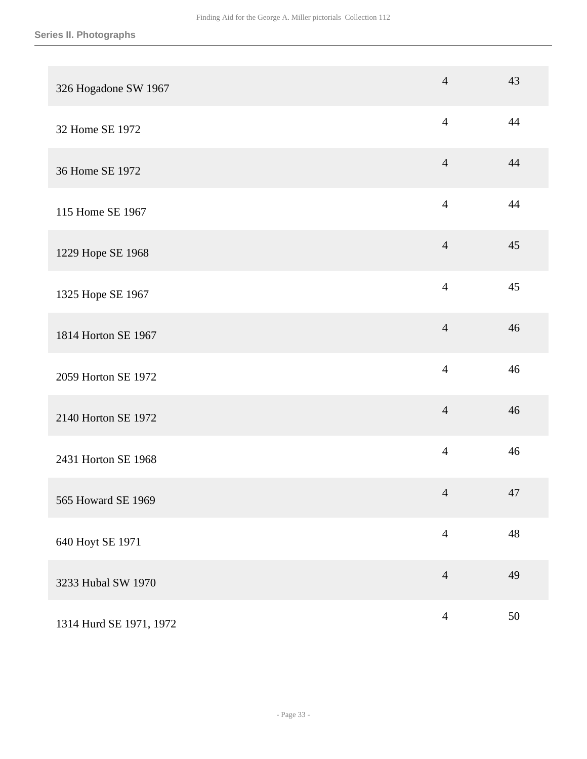| 326 Hogadone SW 1967    | $\overline{4}$ | 43 |
|-------------------------|----------------|----|
| 32 Home SE 1972         | $\overline{4}$ | 44 |
| 36 Home SE 1972         | $\overline{4}$ | 44 |
| 115 Home SE 1967        | $\overline{4}$ | 44 |
| 1229 Hope SE 1968       | $\overline{4}$ | 45 |
| 1325 Hope SE 1967       | $\overline{4}$ | 45 |
| 1814 Horton SE 1967     | $\overline{4}$ | 46 |
| 2059 Horton SE 1972     | $\overline{4}$ | 46 |
| 2140 Horton SE 1972     | $\overline{4}$ | 46 |
| 2431 Horton SE 1968     | $\overline{4}$ | 46 |
| 565 Howard SE 1969      | $\overline{4}$ | 47 |
| 640 Hoyt SE 1971        | $\overline{4}$ | 48 |
| 3233 Hubal SW 1970      | $\overline{4}$ | 49 |
| 1314 Hurd SE 1971, 1972 | $\overline{4}$ | 50 |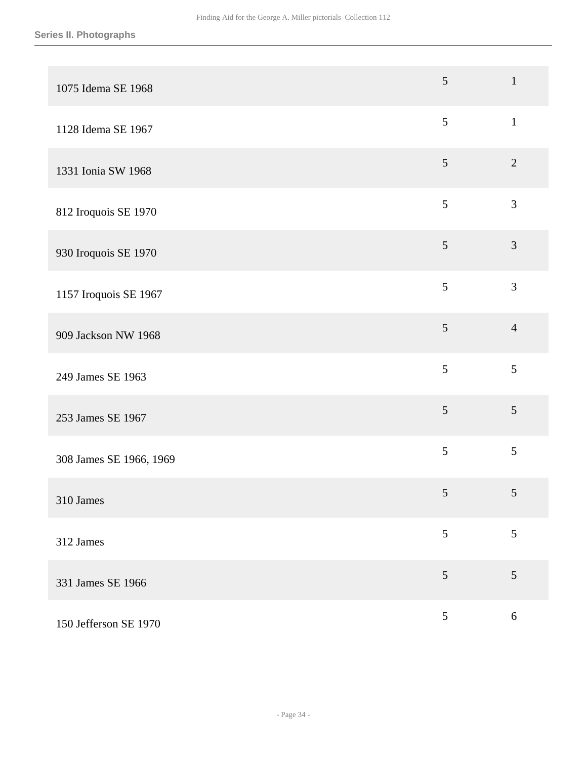| 1075 Idema SE 1968      | 5              | $\mathbf{1}$   |
|-------------------------|----------------|----------------|
| 1128 Idema SE 1967      | 5              | $\mathbf{1}$   |
| 1331 Ionia SW 1968      | $\overline{5}$ | $\sqrt{2}$     |
| 812 Iroquois SE 1970    | 5              | 3              |
| 930 Iroquois SE 1970    | 5              | $\mathfrak{Z}$ |
| 1157 Iroquois SE 1967   | 5              | $\mathfrak{Z}$ |
| 909 Jackson NW 1968     | $\mathfrak{S}$ | $\overline{4}$ |
| 249 James SE 1963       | 5              | 5              |
| 253 James SE 1967       | $\mathfrak{S}$ | 5              |
| 308 James SE 1966, 1969 | 5              | 5              |
| 310 James               | $\sqrt{5}$     | 5              |
| 312 James               | 5              | 5              |
| 331 James SE 1966       | 5              | 5              |
| 150 Jefferson SE 1970   | $\mathfrak{S}$ | $6\,$          |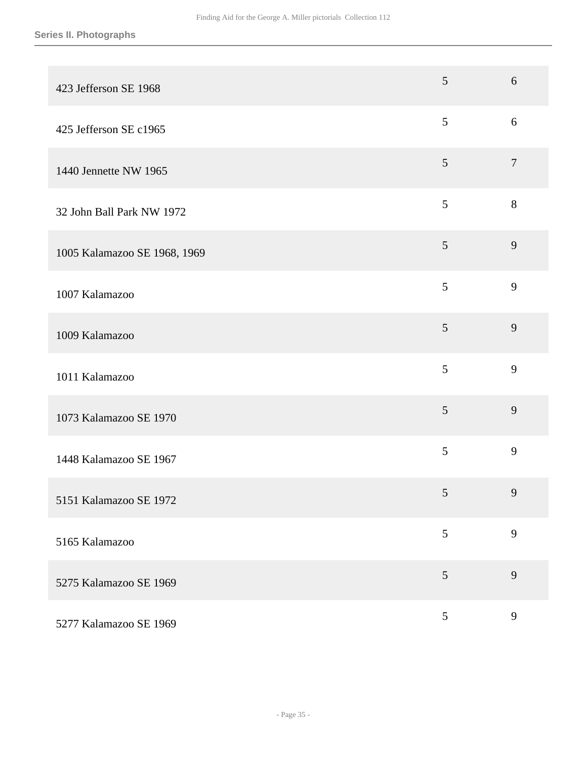| 423 Jefferson SE 1968        | 5               | 6            |
|------------------------------|-----------------|--------------|
| 425 Jefferson SE c1965       | 5               | 6            |
| 1440 Jennette NW 1965        | $\mathfrak{S}$  | $\tau$       |
| 32 John Ball Park NW 1972    | 5               | 8            |
| 1005 Kalamazoo SE 1968, 1969 | 5               | 9            |
| 1007 Kalamazoo               | 5               | 9            |
| 1009 Kalamazoo               | 5               | 9            |
| 1011 Kalamazoo               | 5               | 9            |
| 1073 Kalamazoo SE 1970       | 5               | 9            |
| 1448 Kalamazoo SE 1967       | 5               | 9            |
| 5151 Kalamazoo SE 1972       | $5\overline{)}$ | 9            |
| 5165 Kalamazoo               | 5               | 9            |
| 5275 Kalamazoo SE 1969       | 5               | 9            |
| 5277 Kalamazoo SE 1969       | $5\overline{)}$ | $\mathbf{9}$ |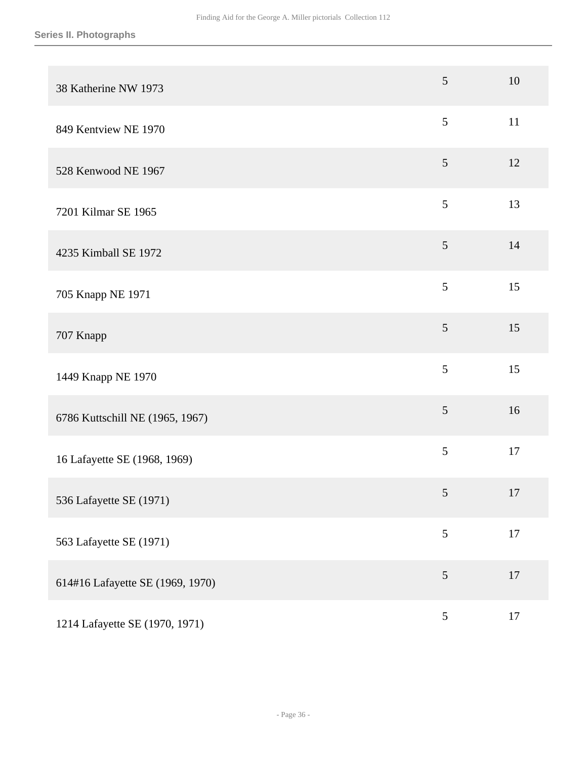| 38 Katherine NW 1973             | 5               | 10     |
|----------------------------------|-----------------|--------|
| 849 Kentview NE 1970             | 5               | 11     |
| 528 Kenwood NE 1967              | $\mathfrak{S}$  | 12     |
| 7201 Kilmar SE 1965              | 5               | 13     |
| 4235 Kimball SE 1972             | 5               | 14     |
| 705 Knapp NE 1971                | 5               | 15     |
| 707 Knapp                        | $\mathfrak{S}$  | 15     |
| 1449 Knapp NE 1970               | 5               | 15     |
| 6786 Kuttschill NE (1965, 1967)  | $\mathfrak{S}$  | 16     |
| 16 Lafayette SE (1968, 1969)     | 5               | 17     |
| 536 Lafayette SE (1971)          | $5\overline{)}$ | 17     |
| 563 Lafayette SE (1971)          | 5               | $17\,$ |
| 614#16 Lafayette SE (1969, 1970) | 5               | 17     |
| 1214 Lafayette SE (1970, 1971)   | $\mathfrak{S}$  | 17     |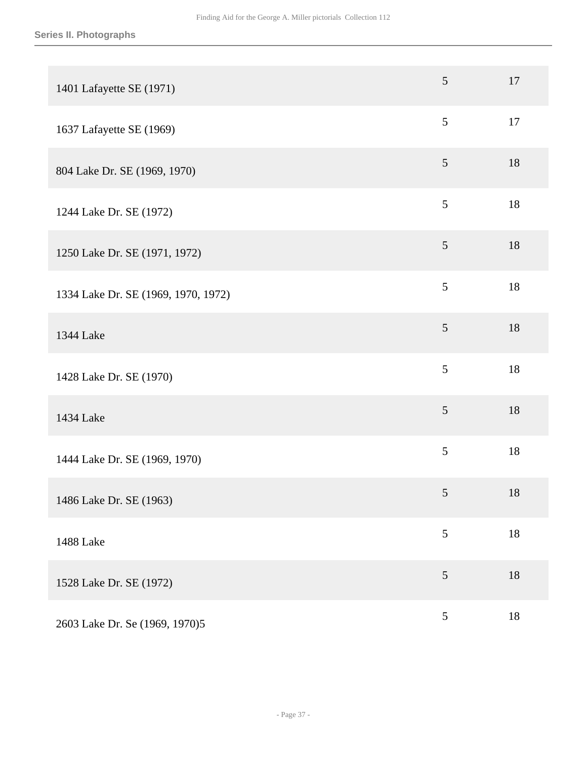| 1401 Lafayette SE (1971)            | $5\overline{)}$ | 17     |
|-------------------------------------|-----------------|--------|
| 1637 Lafayette SE (1969)            | 5               | 17     |
| 804 Lake Dr. SE (1969, 1970)        | $\mathfrak{S}$  | 18     |
| 1244 Lake Dr. SE (1972)             | 5               | 18     |
| 1250 Lake Dr. SE (1971, 1972)       | $\mathfrak{S}$  | 18     |
| 1334 Lake Dr. SE (1969, 1970, 1972) | 5               | $18\,$ |
| 1344 Lake                           | 5               | 18     |
| 1428 Lake Dr. SE (1970)             | 5               | 18     |
| 1434 Lake                           | 5               | 18     |
| 1444 Lake Dr. SE (1969, 1970)       | 5               | 18     |
| 1486 Lake Dr. SE (1963)             | $5\overline{)}$ | 18     |
| 1488 Lake                           | 5               | $18\,$ |
| 1528 Lake Dr. SE (1972)             | $\mathfrak{S}$  | 18     |
| 2603 Lake Dr. Se (1969, 1970)5      | $\sqrt{5}$      | $18\,$ |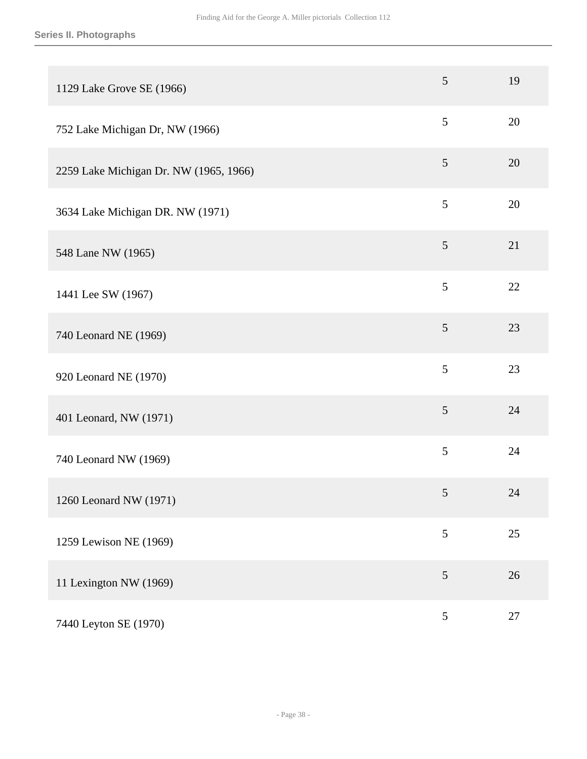## **Series II. Photographs**

| 1129 Lake Grove SE (1966)              | 5               | 19 |
|----------------------------------------|-----------------|----|
| 752 Lake Michigan Dr, NW (1966)        | 5               | 20 |
| 2259 Lake Michigan Dr. NW (1965, 1966) | $\mathfrak{S}$  | 20 |
| 3634 Lake Michigan DR. NW (1971)       | 5               | 20 |
| 548 Lane NW (1965)                     | $\mathfrak{S}$  | 21 |
| 1441 Lee SW (1967)                     | 5               | 22 |
| 740 Leonard NE (1969)                  | 5               | 23 |
| 920 Leonard NE (1970)                  | 5               | 23 |
| 401 Leonard, NW (1971)                 | $\mathfrak{S}$  | 24 |
| 740 Leonard NW (1969)                  | 5               | 24 |
| 1260 Leonard NW (1971)                 | $5\overline{)}$ | 24 |
| 1259 Lewison NE (1969)                 | 5               | 25 |
| 11 Lexington NW (1969)                 | $\mathfrak{S}$  | 26 |
| 7440 Leyton SE (1970)                  | $\sqrt{5}$      | 27 |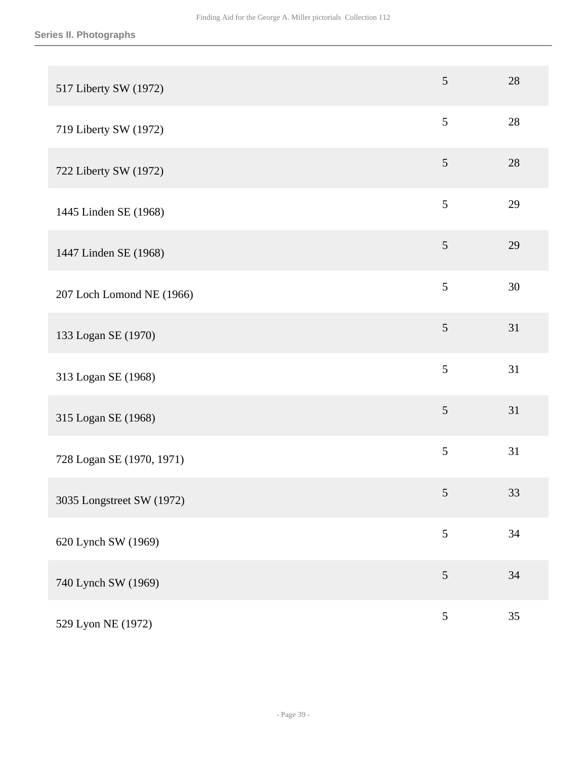| 517 Liberty SW (1972)     | $5\overline{)}$ | 28 |
|---------------------------|-----------------|----|
| 719 Liberty SW (1972)     | 5               | 28 |
| 722 Liberty SW (1972)     | 5               | 28 |
| 1445 Linden SE (1968)     | 5               | 29 |
| 1447 Linden SE (1968)     | 5               | 29 |
| 207 Loch Lomond NE (1966) | 5               | 30 |
| 133 Logan SE (1970)       | 5               | 31 |
| 313 Logan SE (1968)       | 5               | 31 |
| 315 Logan SE (1968)       | $\mathfrak{S}$  | 31 |
| 728 Logan SE (1970, 1971) | 5               | 31 |
| 3035 Longstreet SW (1972) | $5\overline{)}$ | 33 |
| 620 Lynch SW (1969)       | 5               | 34 |
| 740 Lynch SW (1969)       | 5               | 34 |
| 529 Lyon NE (1972)        | $\mathfrak{S}$  | 35 |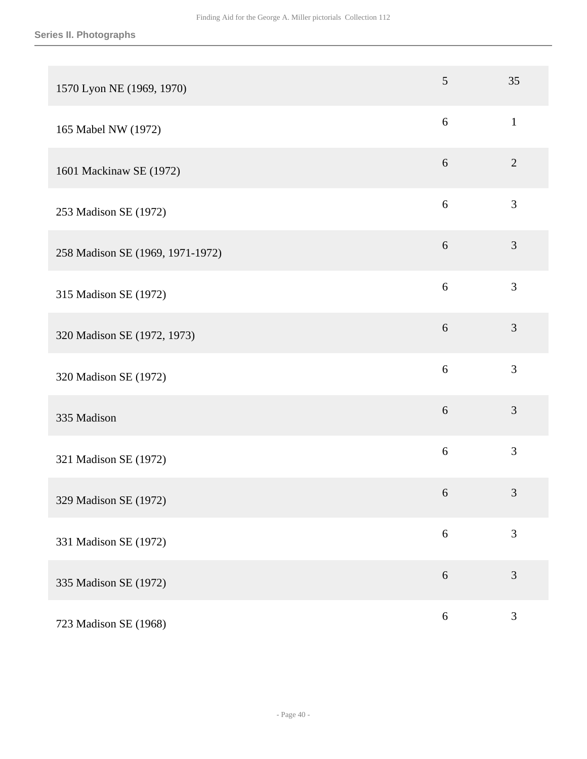| 1570 Lyon NE (1969, 1970)        | 5          | 35             |
|----------------------------------|------------|----------------|
| 165 Mabel NW (1972)              | 6          | $\mathbf{1}$   |
| 1601 Mackinaw SE (1972)          | $6\,$      | $\overline{2}$ |
| 253 Madison SE (1972)            | $\sqrt{6}$ | 3              |
| 258 Madison SE (1969, 1971-1972) | $6\,$      | 3              |
| 315 Madison SE (1972)            | 6          | 3              |
| 320 Madison SE (1972, 1973)      | 6          | 3              |
| 320 Madison SE (1972)            | 6          | 3              |
| 335 Madison                      | $6\,$      | 3              |
| 321 Madison SE (1972)            | 6          | 3              |
| 329 Madison SE (1972)            | 6          | $\mathfrak{Z}$ |
| 331 Madison SE (1972)            | $\sqrt{6}$ | 3              |
| 335 Madison SE (1972)            | 6          | 3              |
| 723 Madison SE (1968)            | $\sqrt{6}$ | $\mathfrak{Z}$ |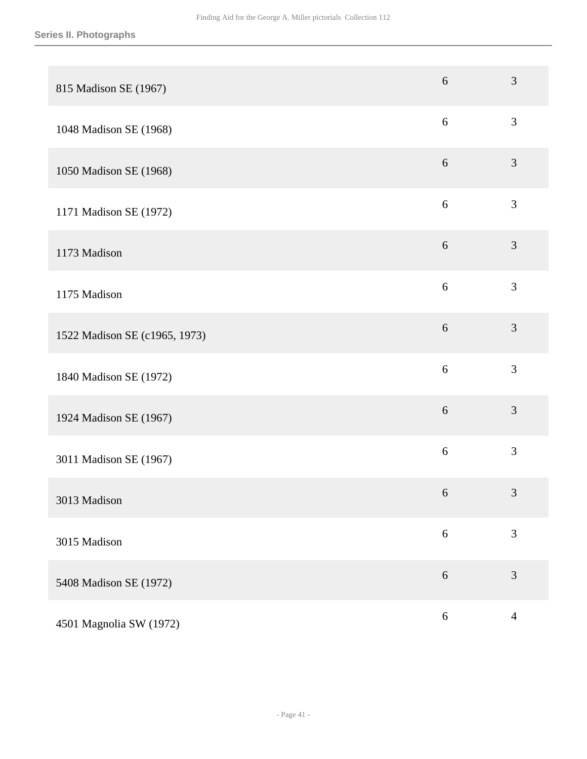| 815 Madison SE (1967)         | 6          | 3              |
|-------------------------------|------------|----------------|
| 1048 Madison SE (1968)        | $\sqrt{6}$ | $\mathfrak{Z}$ |
| 1050 Madison SE (1968)        | $6\,$      | $\mathfrak{Z}$ |
| 1171 Madison SE (1972)        | $\sqrt{6}$ | 3              |
| 1173 Madison                  | $6\,$      | 3              |
| 1175 Madison                  | 6          | 3              |
| 1522 Madison SE (c1965, 1973) | 6          | 3              |
| 1840 Madison SE (1972)        | $\sqrt{6}$ | 3              |
| 1924 Madison SE (1967)        | $\sqrt{6}$ | 3              |
| 3011 Madison SE (1967)        | 6          | 3              |
| 3013 Madison                  | 6          | $\mathfrak{Z}$ |
| 3015 Madison                  | $6\,$      | 3              |
| 5408 Madison SE (1972)        | $\sqrt{6}$ | 3              |
| 4501 Magnolia SW (1972)       | $\sqrt{6}$ | $\overline{4}$ |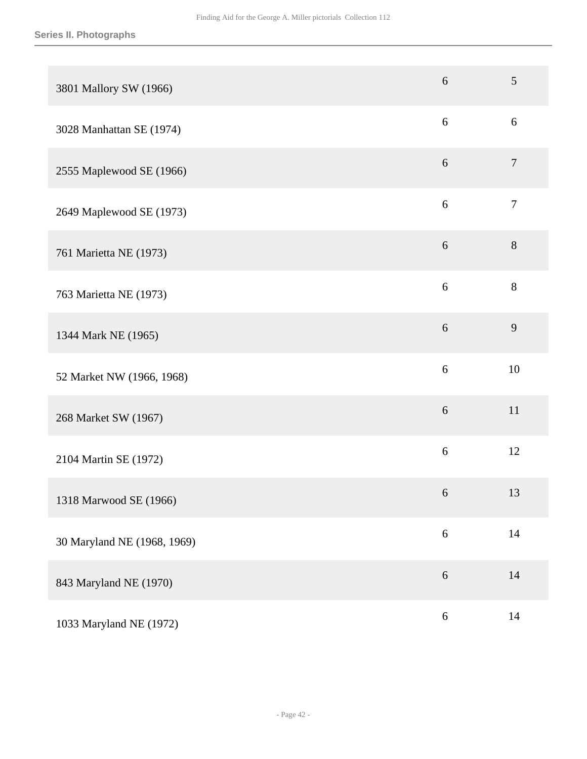| 3801 Mallory SW (1966)      | 6                | 5                |
|-----------------------------|------------------|------------------|
| 3028 Manhattan SE (1974)    | 6                | 6                |
| 2555 Maplewood SE (1966)    | $6\,$            | $\tau$           |
| 2649 Maplewood SE (1973)    | 6                | $\boldsymbol{7}$ |
| 761 Marietta NE (1973)      | 6                | $8\,$            |
| 763 Marietta NE (1973)      | 6                | 8                |
| 1344 Mark NE (1965)         | 6                | 9                |
| 52 Market NW (1966, 1968)   | 6                | 10               |
| 268 Market SW (1967)        | $6\,$            | $11\,$           |
| 2104 Martin SE (1972)       | $6\,$            | 12               |
| 1318 Marwood SE (1966)      | 6                | 13               |
| 30 Maryland NE (1968, 1969) | $6\,$            | $14\,$           |
| 843 Maryland NE (1970)      | $6\,$            | 14               |
| 1033 Maryland NE (1972)     | $\boldsymbol{6}$ | 14               |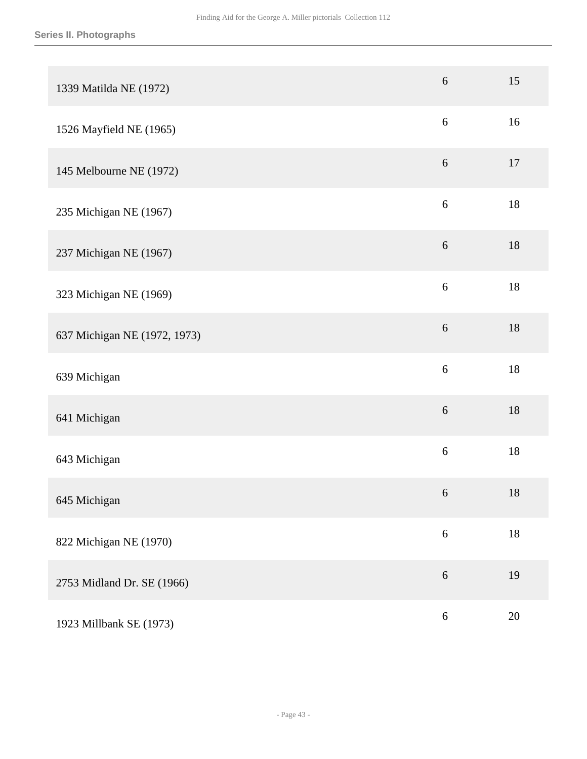| 1339 Matilda NE (1972)       | $\boldsymbol{6}$ | 15     |
|------------------------------|------------------|--------|
| 1526 Mayfield NE (1965)      | 6                | 16     |
| 145 Melbourne NE (1972)      | $6\,$            | 17     |
| 235 Michigan NE (1967)       | $\sqrt{6}$       | $18\,$ |
| 237 Michigan NE (1967)       | $6\,$            | 18     |
| 323 Michigan NE (1969)       | $6\,$            | $18\,$ |
| 637 Michigan NE (1972, 1973) | $6\,$            | 18     |
| 639 Michigan                 | 6                | 18     |
| 641 Michigan                 | $6\,$            | 18     |
| 643 Michigan                 | $6\,$            | 18     |
| 645 Michigan                 | 6                | 18     |
| 822 Michigan NE (1970)       | $\sqrt{6}$       | $18\,$ |
| 2753 Midland Dr. SE (1966)   | $\sqrt{6}$       | 19     |
| 1923 Millbank SE (1973)      | $\sqrt{6}$       | 20     |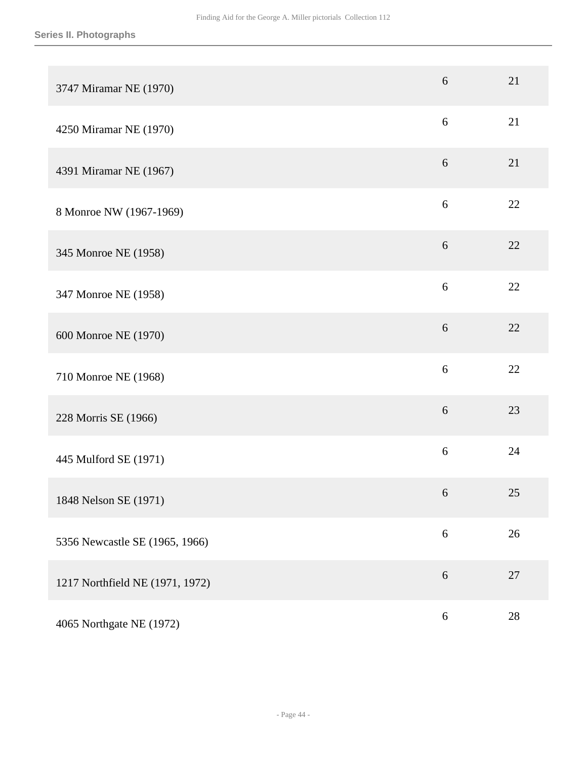| 3747 Miramar NE (1970)          | 6          | 21     |
|---------------------------------|------------|--------|
| 4250 Miramar NE (1970)          | 6          | 21     |
| 4391 Miramar NE (1967)          | $6\,$      | 21     |
| 8 Monroe NW (1967-1969)         | 6          | 22     |
| 345 Monroe NE (1958)            | 6          | 22     |
| 347 Monroe NE (1958)            | 6          | 22     |
| 600 Monroe NE (1970)            | 6          | 22     |
| 710 Monroe NE (1968)            | 6          | 22     |
| 228 Morris SE (1966)            | 6          | 23     |
| 445 Mulford SE (1971)           | 6          | 24     |
| 1848 Nelson SE (1971)           | 6          | 25     |
| 5356 Newcastle SE (1965, 1966)  | $\sqrt{6}$ | $26\,$ |
| 1217 Northfield NE (1971, 1972) | $6\,$      | 27     |
| 4065 Northgate NE (1972)        | $\sqrt{6}$ | $28\,$ |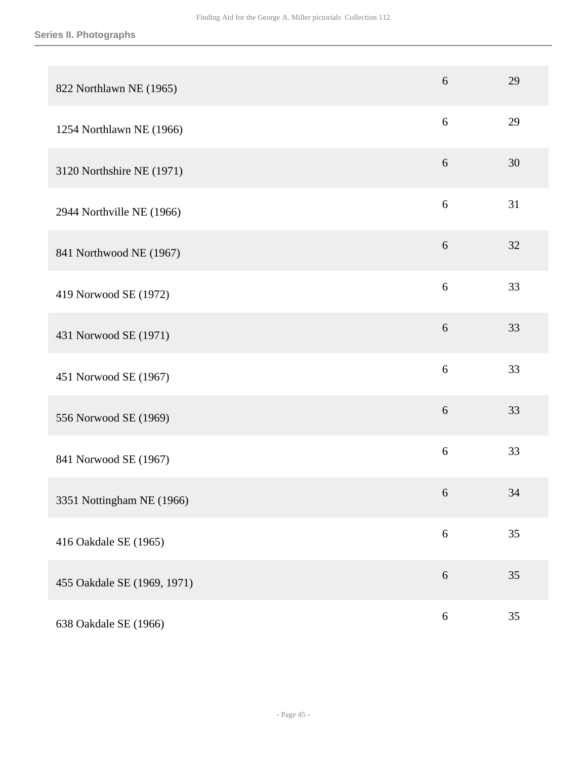| 822 Northlawn NE (1965)     | 6          | 29 |
|-----------------------------|------------|----|
| 1254 Northlawn NE (1966)    | 6          | 29 |
| 3120 Northshire NE (1971)   | 6          | 30 |
| 2944 Northville NE (1966)   | 6          | 31 |
| 841 Northwood NE (1967)     | $6\,$      | 32 |
| 419 Norwood SE (1972)       | 6          | 33 |
| 431 Norwood SE (1971)       | $6\,$      | 33 |
| 451 Norwood SE (1967)       | 6          | 33 |
| 556 Norwood SE (1969)       | 6          | 33 |
| 841 Norwood SE (1967)       | $\sqrt{6}$ | 33 |
| 3351 Nottingham NE (1966)   | 6          | 34 |
| 416 Oakdale SE (1965)       | $\sqrt{6}$ | 35 |
| 455 Oakdale SE (1969, 1971) | $\sqrt{6}$ | 35 |
| 638 Oakdale SE (1966)       | $\sqrt{6}$ | 35 |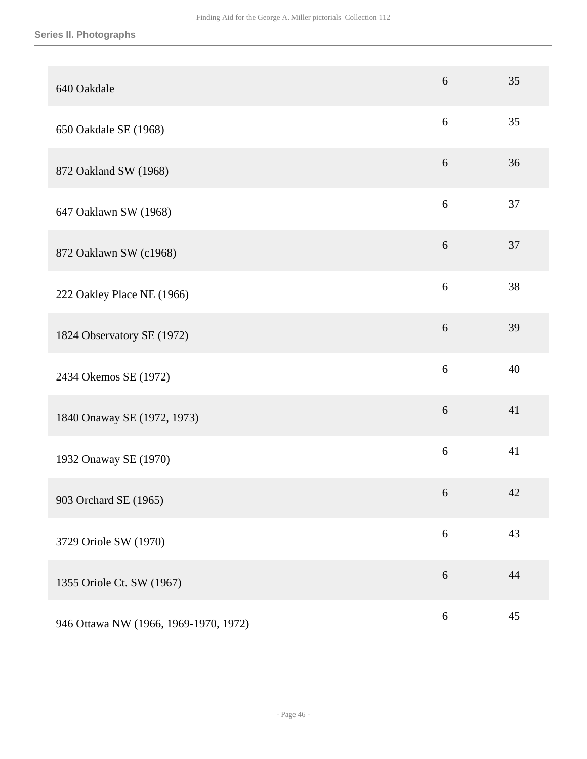## **Series II. Photographs**

| 640 Oakdale                           | 6          | 35 |
|---------------------------------------|------------|----|
| 650 Oakdale SE (1968)                 | $\sqrt{6}$ | 35 |
| 872 Oakland SW (1968)                 | $6\,$      | 36 |
| 647 Oaklawn SW (1968)                 | 6          | 37 |
| 872 Oaklawn SW (c1968)                | $6\,$      | 37 |
| 222 Oakley Place NE (1966)            | $\sqrt{6}$ | 38 |
| 1824 Observatory SE (1972)            | $\sqrt{6}$ | 39 |
| 2434 Okemos SE (1972)                 | 6          | 40 |
| 1840 Onaway SE (1972, 1973)           | 6          | 41 |
| 1932 Onaway SE (1970)                 | 6          | 41 |
| 903 Orchard SE (1965)                 | $\sqrt{6}$ | 42 |
| 3729 Oriole SW (1970)                 | $6\,$      | 43 |
| 1355 Oriole Ct. SW (1967)             | $6\,$      | 44 |
| 946 Ottawa NW (1966, 1969-1970, 1972) | $\sqrt{6}$ | 45 |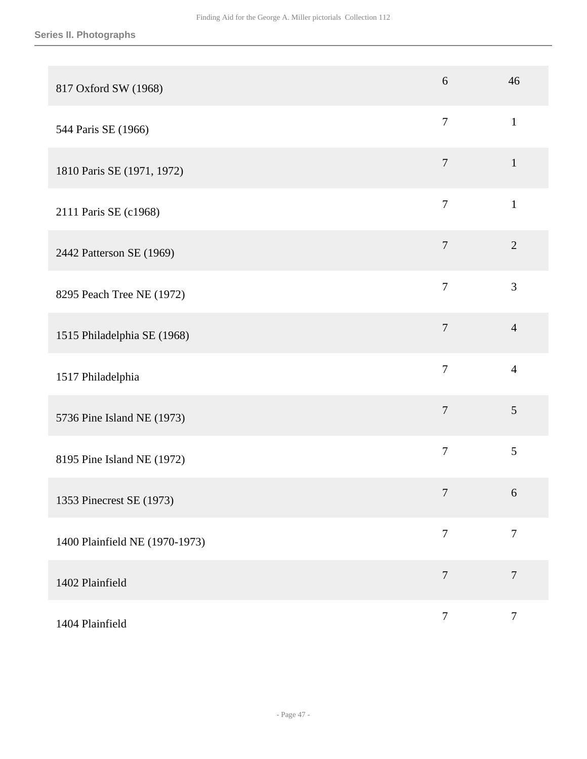| 817 Oxford SW (1968)           | 6              | 46               |
|--------------------------------|----------------|------------------|
| 544 Paris SE (1966)            | $\overline{7}$ | $\mathbf{1}$     |
| 1810 Paris SE (1971, 1972)     | $\overline{7}$ | $\mathbf{1}$     |
| 2111 Paris SE (c1968)          | $\overline{7}$ | $\mathbf{1}$     |
| 2442 Patterson SE (1969)       | $\overline{7}$ | $\overline{2}$   |
| 8295 Peach Tree NE (1972)      | $\overline{7}$ | 3                |
| 1515 Philadelphia SE (1968)    | $\overline{7}$ | $\overline{4}$   |
| 1517 Philadelphia              | $\overline{7}$ | $\overline{4}$   |
| 5736 Pine Island NE (1973)     | $\overline{7}$ | 5                |
| 8195 Pine Island NE (1972)     | $\overline{7}$ | 5                |
| 1353 Pinecrest SE (1973)       | $\overline{7}$ | 6                |
| 1400 Plainfield NE (1970-1973) | $\overline{7}$ | $\overline{7}$   |
| 1402 Plainfield                | $\overline{7}$ | $\overline{7}$   |
| 1404 Plainfield                | $\overline{7}$ | $\boldsymbol{7}$ |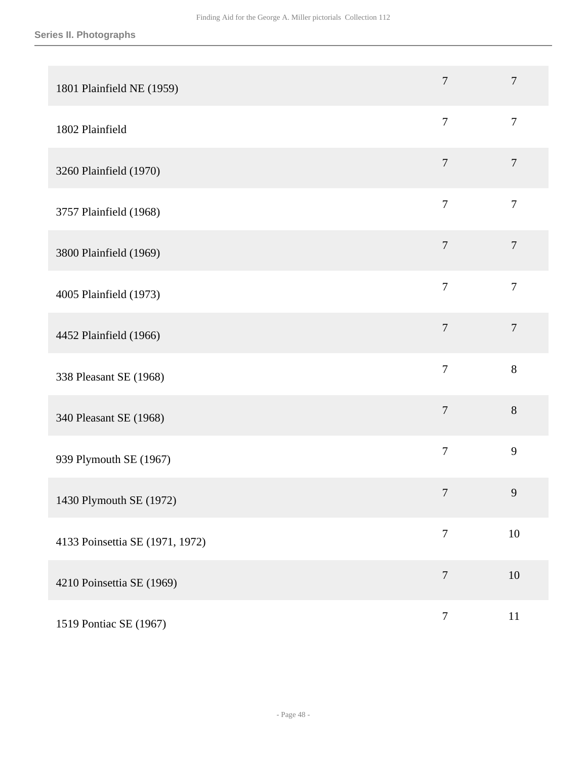| 1801 Plainfield NE (1959)       | $\overline{7}$   | $\overline{7}$   |
|---------------------------------|------------------|------------------|
| 1802 Plainfield                 | $\overline{7}$   | $\overline{7}$   |
| 3260 Plainfield (1970)          | $\overline{7}$   | $\overline{7}$   |
| 3757 Plainfield (1968)          | $\overline{7}$   | $\overline{7}$   |
| 3800 Plainfield (1969)          | $\overline{7}$   | $\boldsymbol{7}$ |
| 4005 Plainfield (1973)          | $\overline{7}$   | $\overline{7}$   |
| 4452 Plainfield (1966)          | $\overline{7}$   | $\overline{7}$   |
| 338 Pleasant SE (1968)          | $\overline{7}$   | 8                |
| 340 Pleasant SE (1968)          | $\overline{7}$   | $8\,$            |
| 939 Plymouth SE (1967)          | $\overline{7}$   | 9                |
| 1430 Plymouth SE (1972)         | $\overline{7}$   | 9                |
| 4133 Poinsettia SE (1971, 1972) | $\tau$           | $10\,$           |
| 4210 Poinsettia SE (1969)       | $\overline{7}$   | 10               |
| 1519 Pontiac SE (1967)          | $\boldsymbol{7}$ | $11\,$           |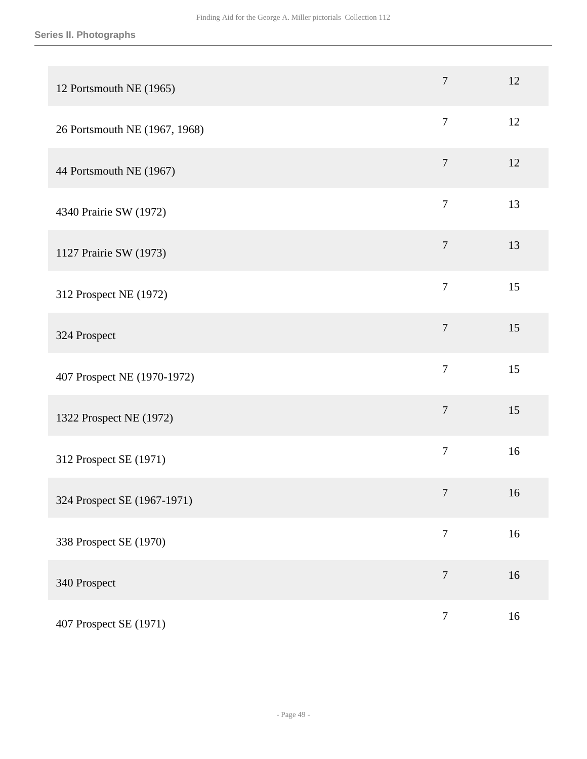| 12 Portsmouth NE (1965)       | $\overline{7}$   | 12 |
|-------------------------------|------------------|----|
| 26 Portsmouth NE (1967, 1968) | $\tau$           | 12 |
| 44 Portsmouth NE (1967)       | $\overline{7}$   | 12 |
| 4340 Prairie SW (1972)        | $\overline{7}$   | 13 |
| 1127 Prairie SW (1973)        | $\tau$           | 13 |
| 312 Prospect NE (1972)        | $\overline{7}$   | 15 |
| 324 Prospect                  | $\overline{7}$   | 15 |
| 407 Prospect NE (1970-1972)   | $\overline{7}$   | 15 |
| 1322 Prospect NE (1972)       | $\overline{7}$   | 15 |
| 312 Prospect SE (1971)        | $\boldsymbol{7}$ | 16 |
| 324 Prospect SE (1967-1971)   | $\tau$           | 16 |
| 338 Prospect SE (1970)        | $\overline{7}$   | 16 |
| 340 Prospect                  | $\boldsymbol{7}$ | 16 |
| 407 Prospect SE (1971)        | $\boldsymbol{7}$ | 16 |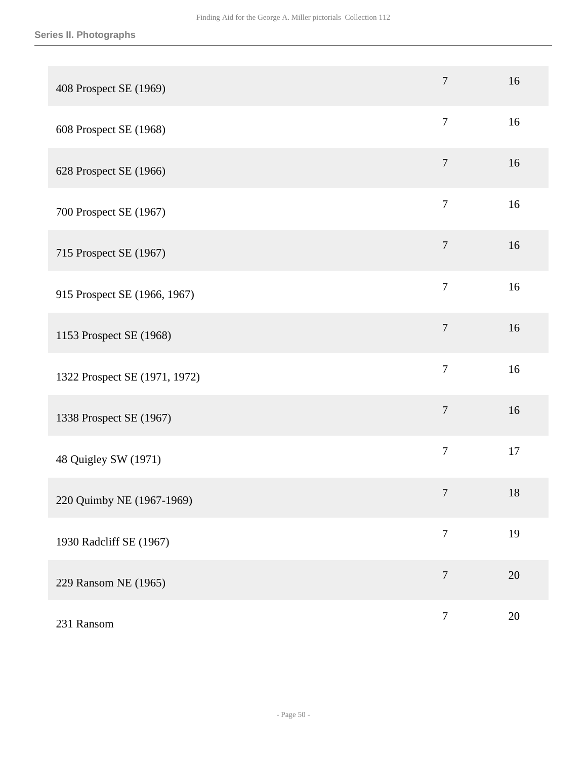| 408 Prospect SE (1969)        | $\overline{7}$ | 16 |
|-------------------------------|----------------|----|
| 608 Prospect SE (1968)        | $\overline{7}$ | 16 |
| 628 Prospect SE (1966)        | $\tau$         | 16 |
| 700 Prospect SE (1967)        | $\overline{7}$ | 16 |
| 715 Prospect SE (1967)        | $\overline{7}$ | 16 |
| 915 Prospect SE (1966, 1967)  | $\overline{7}$ | 16 |
| 1153 Prospect SE (1968)       | $\overline{7}$ | 16 |
| 1322 Prospect SE (1971, 1972) | $\overline{7}$ | 16 |
| 1338 Prospect SE (1967)       | $\tau$         | 16 |
| 48 Quigley SW (1971)          | $\overline{7}$ | 17 |
| 220 Quimby NE (1967-1969)     | $\overline{7}$ | 18 |
| 1930 Radcliff SE (1967)       | $\tau$         | 19 |
| 229 Ransom NE (1965)          | $\overline{7}$ | 20 |
| 231 Ransom                    | $\overline{7}$ | 20 |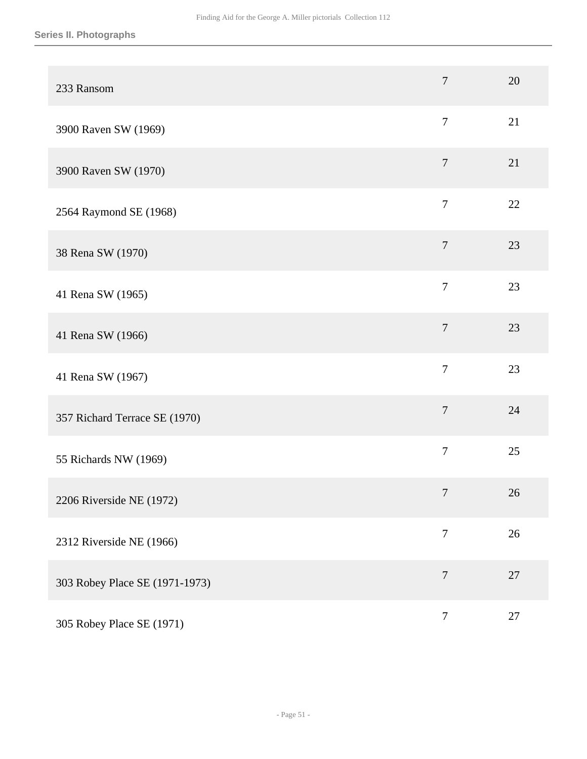## **Series II. Photographs**

| 233 Ransom                     | $\overline{7}$ | 20     |
|--------------------------------|----------------|--------|
| 3900 Raven SW (1969)           | $\tau$         | 21     |
| 3900 Raven SW (1970)           | $\overline{7}$ | 21     |
| 2564 Raymond SE (1968)         | $\overline{7}$ | 22     |
| 38 Rena SW (1970)              | $\overline{7}$ | 23     |
| 41 Rena SW (1965)              | $\overline{7}$ | 23     |
| 41 Rena SW (1966)              | $\overline{7}$ | 23     |
| 41 Rena SW (1967)              | $\overline{7}$ | 23     |
| 357 Richard Terrace SE (1970)  | $\overline{7}$ | 24     |
| 55 Richards NW (1969)          | $\overline{7}$ | 25     |
| 2206 Riverside NE (1972)       | $\overline{7}$ | 26     |
| 2312 Riverside NE (1966)       | $\overline{7}$ | 26     |
| 303 Robey Place SE (1971-1973) | $\tau$         | $27\,$ |
| 305 Robey Place SE (1971)      | $\overline{7}$ | 27     |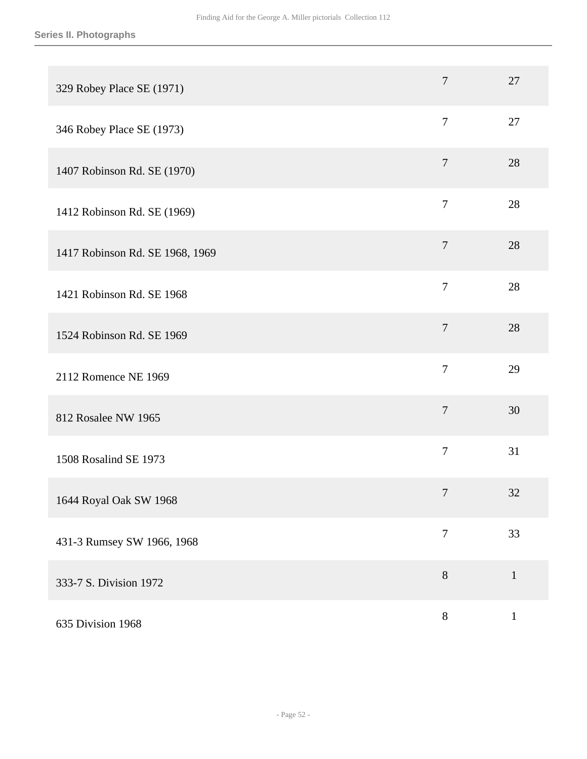| 329 Robey Place SE (1971)       | $\overline{7}$ | 27           |
|---------------------------------|----------------|--------------|
| 346 Robey Place SE (1973)       | $\overline{7}$ | 27           |
| 1407 Robinson Rd. SE (1970)     | $\overline{7}$ | 28           |
| 1412 Robinson Rd. SE (1969)     | $\overline{7}$ | 28           |
| 1417 Robinson Rd. SE 1968, 1969 | $\overline{7}$ | 28           |
| 1421 Robinson Rd. SE 1968       | $\overline{7}$ | 28           |
| 1524 Robinson Rd. SE 1969       | $\tau$         | 28           |
| 2112 Romence NE 1969            | $\overline{7}$ | 29           |
| 812 Rosalee NW 1965             | $\overline{7}$ | 30           |
| 1508 Rosalind SE 1973           | $\overline{7}$ | 31           |
| 1644 Royal Oak SW 1968          | $\tau$         | 32           |
| 431-3 Rumsey SW 1966, 1968      | $\overline{7}$ | 33           |
| 333-7 S. Division 1972          | $8\,$          | $\mathbf{1}$ |
| 635 Division 1968               | $\, 8$         | $\mathbf{1}$ |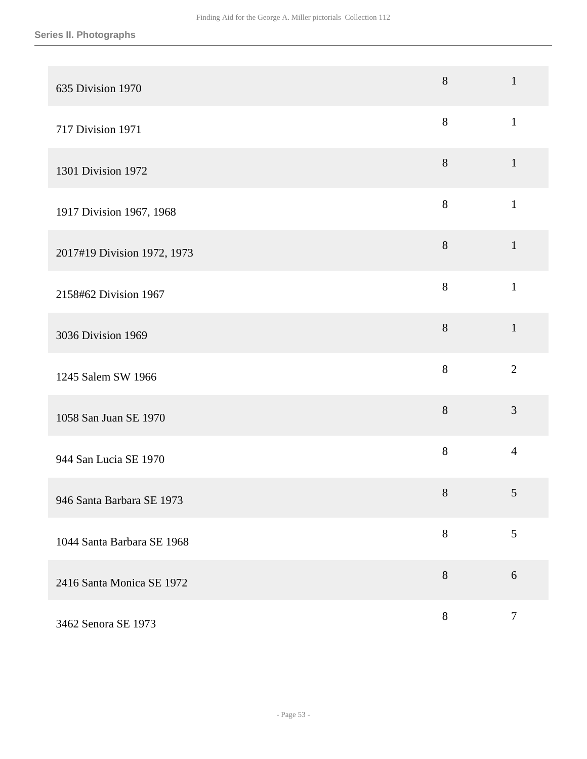| 635 Division 1970           | $8\,$ | $\mathbf{1}$   |
|-----------------------------|-------|----------------|
| 717 Division 1971           | 8     | $\mathbf{1}$   |
| 1301 Division 1972          | $8\,$ | $\mathbf{1}$   |
| 1917 Division 1967, 1968    | 8     | $\mathbf{1}$   |
| 2017#19 Division 1972, 1973 | 8     | $\mathbf{1}$   |
| 2158#62 Division 1967       | 8     | $\mathbf{1}$   |
| 3036 Division 1969          | 8     | $\mathbf{1}$   |
| 1245 Salem SW 1966          | 8     | $\overline{2}$ |
| 1058 San Juan SE 1970       | 8     | 3              |
| 944 San Lucia SE 1970       | 8     | $\overline{4}$ |
| 946 Santa Barbara SE 1973   | $8\,$ | 5              |
| 1044 Santa Barbara SE 1968  | $8\,$ | $\mathfrak{S}$ |
| 2416 Santa Monica SE 1972   | $8\,$ | $6\,$          |
| 3462 Senora SE 1973         | $8\,$ | $\tau$         |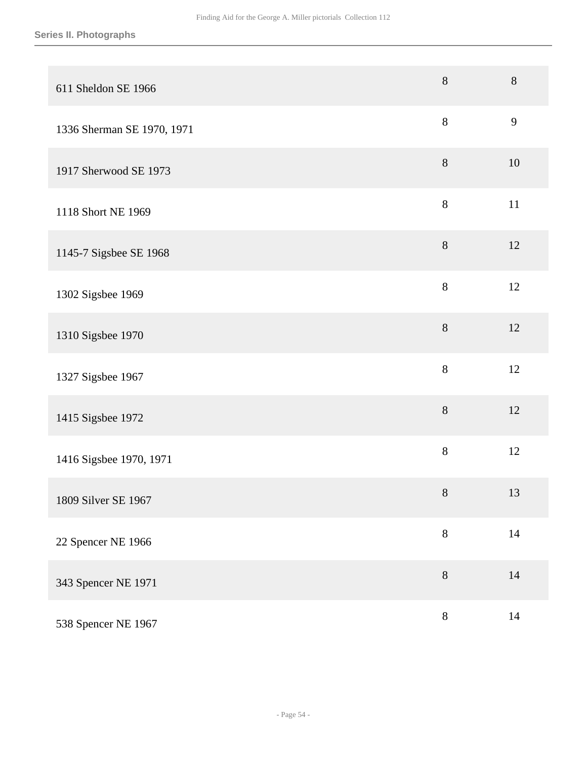| 611 Sheldon SE 1966        | $8\,$   | 8      |
|----------------------------|---------|--------|
| 1336 Sherman SE 1970, 1971 | 8       | 9      |
| 1917 Sherwood SE 1973      | $8\,$   | 10     |
| 1118 Short NE 1969         | $\,8\,$ | $11\,$ |
| 1145-7 Sigsbee SE 1968     | $8\,$   | 12     |
| 1302 Sigsbee 1969          | 8       | 12     |
| 1310 Sigsbee 1970          | 8       | 12     |
| 1327 Sigsbee 1967          | 8       | 12     |
| 1415 Sigsbee 1972          | 8       | 12     |
| 1416 Sigsbee 1970, 1971    | 8       | 12     |
| 1809 Silver SE 1967        | $8\,$   | 13     |
| 22 Spencer NE 1966         | $8\,$   | $14\,$ |
| 343 Spencer NE 1971        | $8\,$   | 14     |
| 538 Spencer NE 1967        | $8\,$   | $14\,$ |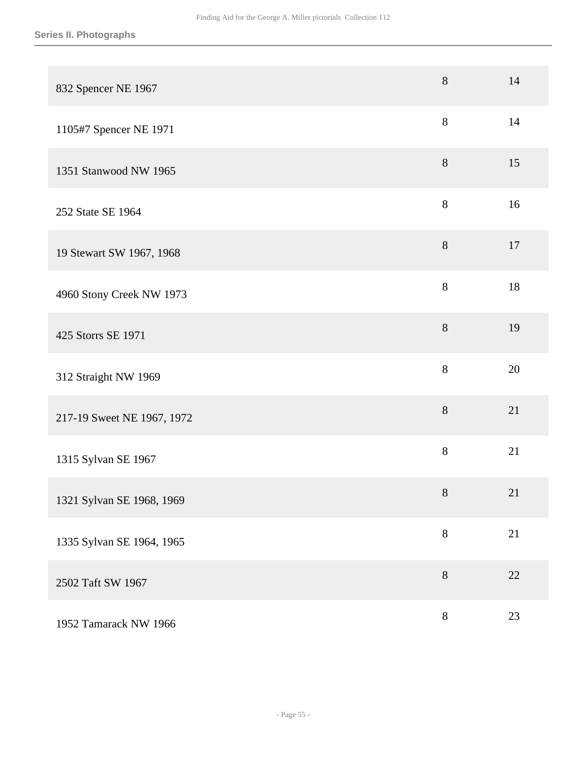| 832 Spencer NE 1967        | $8\,$ | 14 |
|----------------------------|-------|----|
| 1105#7 Spencer NE 1971     | 8     | 14 |
| 1351 Stanwood NW 1965      | $8\,$ | 15 |
| 252 State SE 1964          | 8     | 16 |
| 19 Stewart SW 1967, 1968   | $8\,$ | 17 |
| 4960 Stony Creek NW 1973   | 8     | 18 |
| 425 Storrs SE 1971         | $8\,$ | 19 |
| 312 Straight NW 1969       | 8     | 20 |
| 217-19 Sweet NE 1967, 1972 | 8     | 21 |
| 1315 Sylvan SE 1967        | 8     | 21 |
| 1321 Sylvan SE 1968, 1969  | $8\,$ | 21 |
| 1335 Sylvan SE 1964, 1965  | $8\,$ | 21 |
| 2502 Taft SW 1967          | $8\,$ | 22 |
| 1952 Tamarack NW 1966      | 8     | 23 |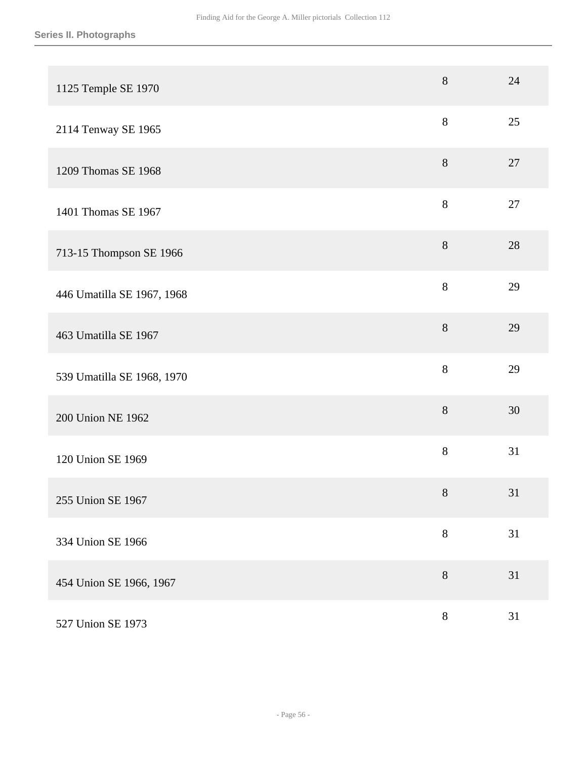| 1125 Temple SE 1970        | $8\,$  | 24 |
|----------------------------|--------|----|
| 2114 Tenway SE 1965        | 8      | 25 |
| 1209 Thomas SE 1968        | $8\,$  | 27 |
| 1401 Thomas SE 1967        | $8\,$  | 27 |
| 713-15 Thompson SE 1966    | $8\,$  | 28 |
| 446 Umatilla SE 1967, 1968 | $8\,$  | 29 |
| 463 Umatilla SE 1967       | 8      | 29 |
| 539 Umatilla SE 1968, 1970 | 8      | 29 |
| 200 Union NE 1962          | $8\,$  | 30 |
| 120 Union SE 1969          | $8\,$  | 31 |
| 255 Union SE 1967          | $8\,$  | 31 |
| 334 Union SE 1966          | $\, 8$ | 31 |
| 454 Union SE 1966, 1967    | $8\,$  | 31 |
| 527 Union SE 1973          | $8\,$  | 31 |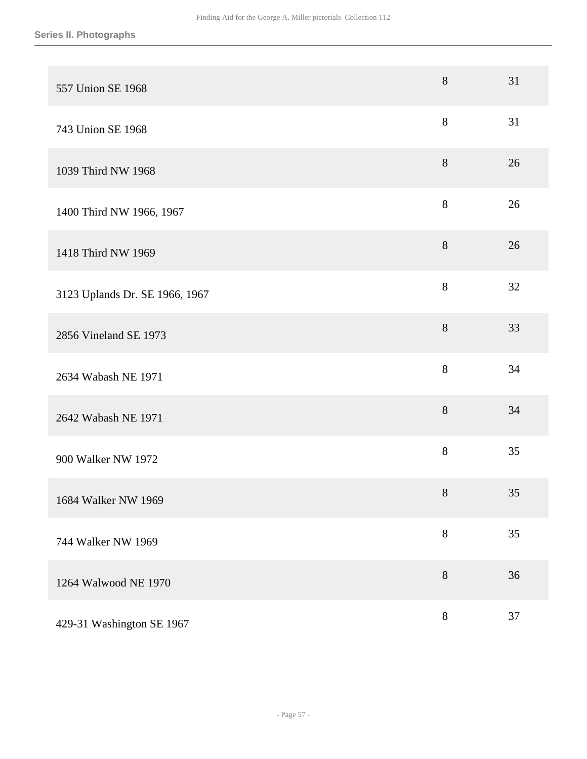| 557 Union SE 1968              | 8     | 31 |
|--------------------------------|-------|----|
| 743 Union SE 1968              | $8\,$ | 31 |
| 1039 Third NW 1968             | $8\,$ | 26 |
| 1400 Third NW 1966, 1967       | $8\,$ | 26 |
| 1418 Third NW 1969             | $8\,$ | 26 |
| 3123 Uplands Dr. SE 1966, 1967 | 8     | 32 |
| 2856 Vineland SE 1973          | 8     | 33 |
| 2634 Wabash NE 1971            | 8     | 34 |
| 2642 Wabash NE 1971            | 8     | 34 |
| 900 Walker NW 1972             | 8     | 35 |
| 1684 Walker NW 1969            | $8\,$ | 35 |
| 744 Walker NW 1969             | 8     | 35 |
| 1264 Walwood NE 1970           | 8     | 36 |
| 429-31 Washington SE 1967      | $8\,$ | 37 |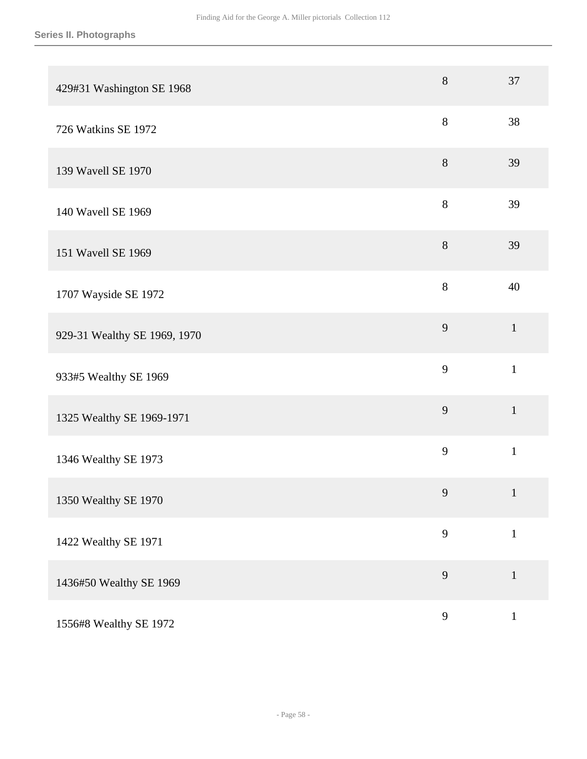| 429#31 Washington SE 1968    | $8\,$ | 37           |
|------------------------------|-------|--------------|
| 726 Watkins SE 1972          | 8     | 38           |
| 139 Wavell SE 1970           | 8     | 39           |
| 140 Wavell SE 1969           | 8     | 39           |
| 151 Wavell SE 1969           | $8\,$ | 39           |
| 1707 Wayside SE 1972         | 8     | 40           |
| 929-31 Wealthy SE 1969, 1970 | 9     | $\mathbf{1}$ |
| 933#5 Wealthy SE 1969        | 9     | $\mathbf{1}$ |
| 1325 Wealthy SE 1969-1971    | 9     | $\mathbf{1}$ |
| 1346 Wealthy SE 1973         | 9     | $\mathbf{1}$ |
| 1350 Wealthy SE 1970         | 9     | $\mathbf{1}$ |
| 1422 Wealthy SE 1971         | 9     | $\mathbf 1$  |
| 1436#50 Wealthy SE 1969      | 9     | $\mathbf{1}$ |
| 1556#8 Wealthy SE 1972       | 9     | $\mathbf{1}$ |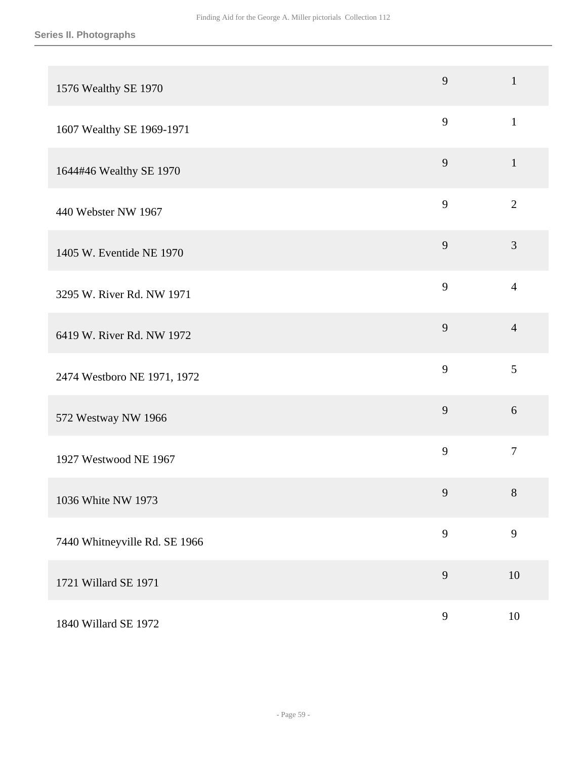|                               | 9 | $\mathbf{1}$   |
|-------------------------------|---|----------------|
| 1576 Wealthy SE 1970          |   |                |
| 1607 Wealthy SE 1969-1971     | 9 | $\mathbf{1}$   |
| 1644#46 Wealthy SE 1970       | 9 | $\mathbf{1}$   |
| 440 Webster NW 1967           | 9 | $\overline{2}$ |
| 1405 W. Eventide NE 1970      | 9 | 3              |
| 3295 W. River Rd. NW 1971     | 9 | $\overline{4}$ |
| 6419 W. River Rd. NW 1972     | 9 | $\overline{4}$ |
| 2474 Westboro NE 1971, 1972   | 9 | $\mathfrak{S}$ |
| 572 Westway NW 1966           | 9 | 6              |
| 1927 Westwood NE 1967         | 9 | $\tau$         |
| 1036 White NW 1973            | 9 | $8\,$          |
| 7440 Whitneyville Rd. SE 1966 | 9 | 9              |
| 1721 Willard SE 1971          | 9 | 10             |
| 1840 Willard SE 1972          | 9 | $10\,$         |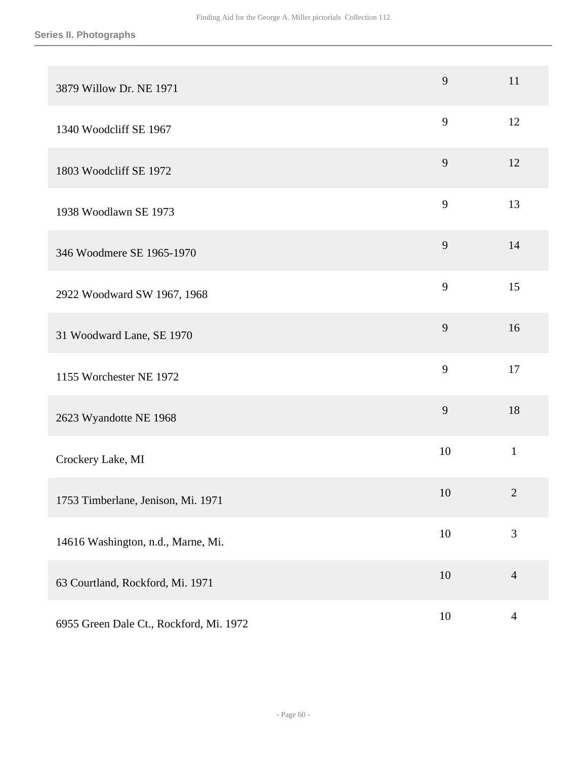| 3879 Willow Dr. NE 1971                 | 9      | 11             |
|-----------------------------------------|--------|----------------|
| 1340 Woodcliff SE 1967                  | 9      | 12             |
| 1803 Woodcliff SE 1972                  | 9      | 12             |
| 1938 Woodlawn SE 1973                   | 9      | 13             |
| 346 Woodmere SE 1965-1970               | 9      | 14             |
| 2922 Woodward SW 1967, 1968             | 9      | 15             |
| 31 Woodward Lane, SE 1970               | 9      | 16             |
| 1155 Worchester NE 1972                 | 9      | 17             |
| 2623 Wyandotte NE 1968                  | 9      | 18             |
| Crockery Lake, MI                       | 10     | $\mathbf{1}$   |
| 1753 Timberlane, Jenison, Mi. 1971      | 10     | $\overline{2}$ |
| 14616 Washington, n.d., Marne, Mi.      | $10\,$ | 3              |
| 63 Courtland, Rockford, Mi. 1971        | $10\,$ | $\overline{4}$ |
| 6955 Green Dale Ct., Rockford, Mi. 1972 | $10\,$ | $\overline{4}$ |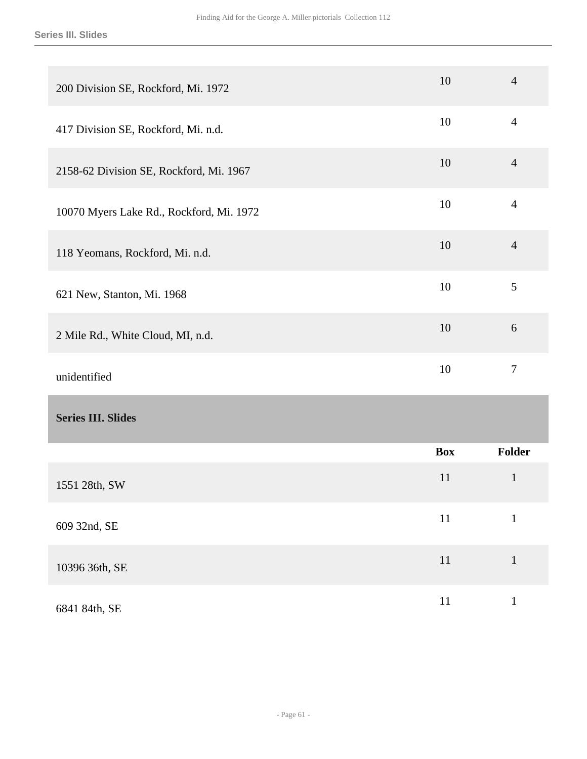| 200 Division SE, Rockford, Mi. 1972      | 10         | $\overline{4}$ |
|------------------------------------------|------------|----------------|
| 417 Division SE, Rockford, Mi. n.d.      | 10         | $\overline{4}$ |
| 2158-62 Division SE, Rockford, Mi. 1967  | 10         | $\overline{4}$ |
| 10070 Myers Lake Rd., Rockford, Mi. 1972 | 10         | $\overline{4}$ |
| 118 Yeomans, Rockford, Mi. n.d.          | 10         | $\overline{4}$ |
| 621 New, Stanton, Mi. 1968               | 10         | 5              |
| 2 Mile Rd., White Cloud, MI, n.d.        | 10         | 6              |
| unidentified                             | 10         | $\overline{7}$ |
| <b>Series III. Slides</b>                |            |                |
|                                          | <b>Box</b> | <b>Folder</b>  |
| 1551 28th, SW                            | 11         | $\mathbf{1}$   |
| 609 32nd, SE                             | $11\,$     | $\mathbf 1$    |
| 10396 36th, SE                           | $11\,$     | $\mathbf 1$    |
| 6841 84th, SE                            | $11\,$     | $\,1\,$        |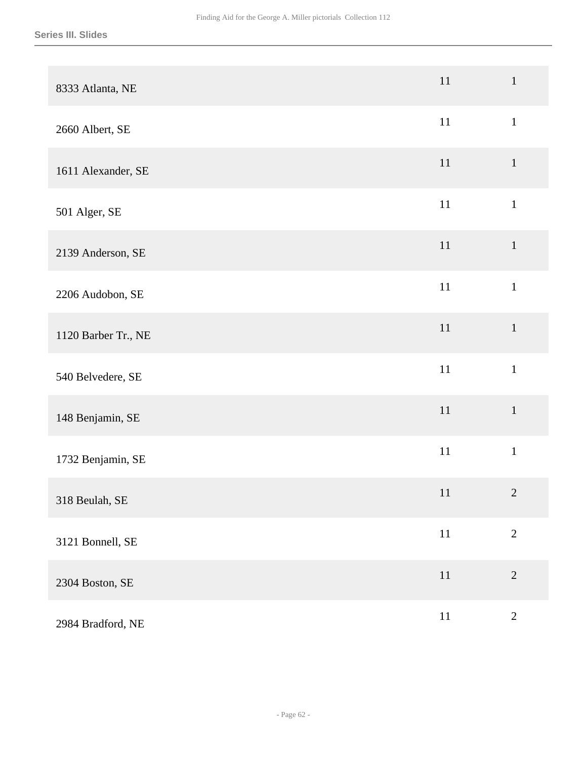| 8333 Atlanta, NE    | 11     | $\mathbf{1}$   |
|---------------------|--------|----------------|
| 2660 Albert, SE     | $11\,$ | $\mathbf 1$    |
| 1611 Alexander, SE  | $11\,$ | $\mathbf{1}$   |
| 501 Alger, SE       | $11\,$ | $\mathbf{1}$   |
| 2139 Anderson, SE   | $11\,$ | $\mathbf{1}$   |
| 2206 Audobon, SE    | $11\,$ | $\mathbf{1}$   |
| 1120 Barber Tr., NE | $11\,$ | $\mathbf 1$    |
| 540 Belvedere, SE   | $11\,$ | $\mathbf{1}$   |
| 148 Benjamin, SE    | $11\,$ | $\mathbf{1}$   |
| 1732 Benjamin, SE   | $11\,$ | $1\,$          |
| 318 Beulah, SE      | 11     | $\overline{2}$ |
| 3121 Bonnell, SE    | $11\,$ | $\sqrt{2}$     |
| 2304 Boston, SE     | $11\,$ | $\sqrt{2}$     |
| 2984 Bradford, NE   | $11\,$ | $\overline{2}$ |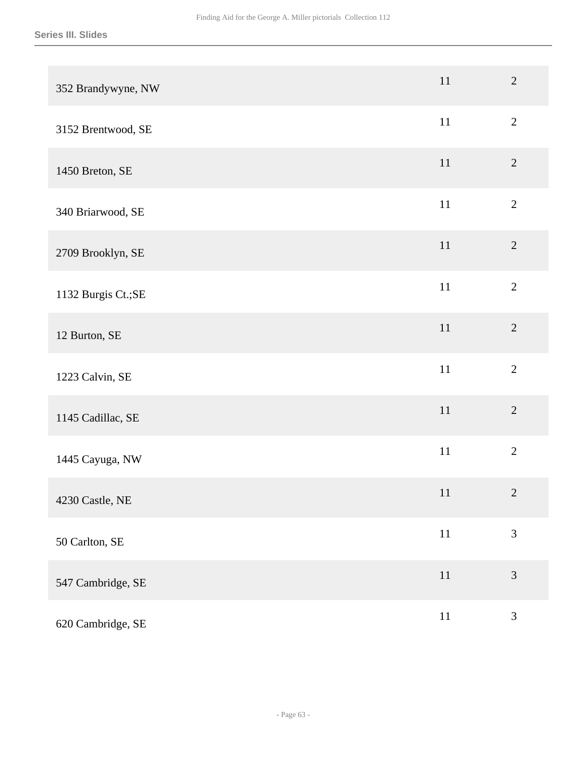| 352 Brandywyne, NW  | 11     | $\overline{2}$ |
|---------------------|--------|----------------|
| 3152 Brentwood, SE  | $11\,$ | $\overline{2}$ |
| 1450 Breton, SE     | $11\,$ | $\overline{2}$ |
| 340 Briarwood, SE   | 11     | $\overline{2}$ |
| 2709 Brooklyn, SE   | $11\,$ | $\sqrt{2}$     |
| 1132 Burgis Ct.; SE | $11\,$ | $\overline{2}$ |
| 12 Burton, SE       | $11\,$ | $\overline{2}$ |
| 1223 Calvin, SE     | $11\,$ | $\overline{2}$ |
| 1145 Cadillac, SE   | 11     | $\overline{2}$ |
| 1445 Cayuga, NW     | $11\,$ | $\overline{2}$ |
| 4230 Castle, NE     | 11     | $\sqrt{2}$     |
| 50 Carlton, SE      | $11\,$ | $\overline{3}$ |
| 547 Cambridge, SE   | $11\,$ | $\mathfrak{Z}$ |
| 620 Cambridge, SE   | $11\,$ | $\mathfrak{Z}$ |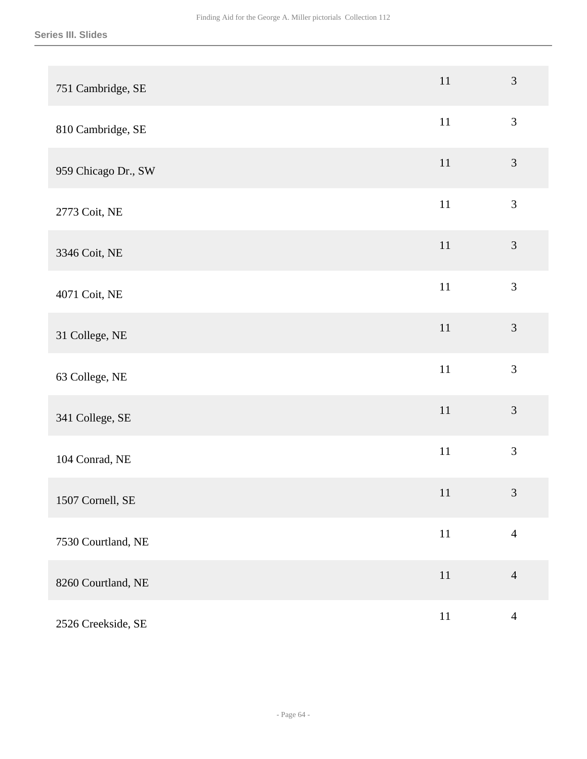| 751 Cambridge, SE   | $11\,$ | $\mathfrak{Z}$ |
|---------------------|--------|----------------|
| 810 Cambridge, SE   | $11\,$ | $\mathfrak{Z}$ |
| 959 Chicago Dr., SW | $11\,$ | $\mathfrak{Z}$ |
| 2773 Coit, NE       | $11\,$ | $\mathfrak{Z}$ |
| 3346 Coit, NE       | $11\,$ | $\mathfrak{Z}$ |
| 4071 Coit, NE       | $11\,$ | 3              |
| 31 College, NE      | $11\,$ | $\mathfrak{Z}$ |
| 63 College, NE      | $11\,$ | $\overline{3}$ |
| 341 College, SE     | 11     | $\overline{3}$ |
| 104 Conrad, NE      | $11\,$ | $\mathfrak{Z}$ |
| 1507 Cornell, SE    | 11     | $\mathfrak{Z}$ |
| 7530 Courtland, NE  | $11\,$ | $\overline{4}$ |
| 8260 Courtland, NE  | $11\,$ | $\overline{4}$ |
| 2526 Creekside, SE  | $11\,$ | $\overline{4}$ |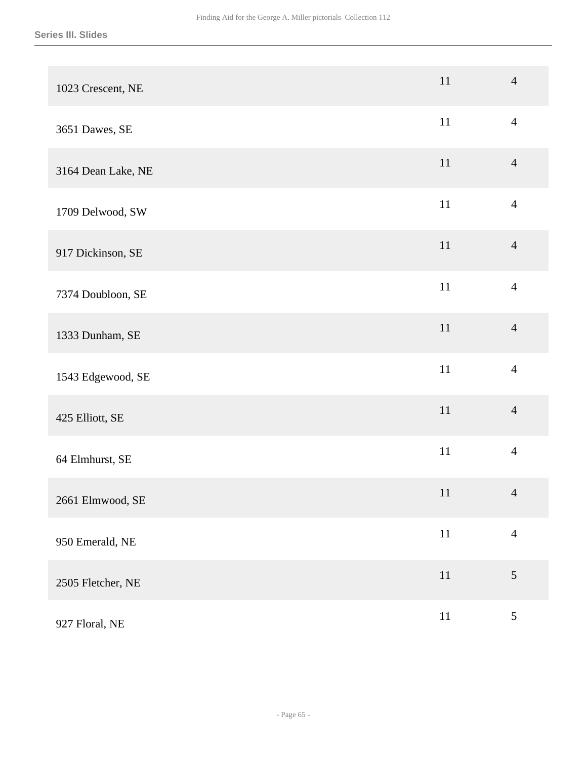| 1023 Crescent, NE  | 11     | $\overline{4}$ |
|--------------------|--------|----------------|
| 3651 Dawes, SE     | 11     | $\overline{4}$ |
| 3164 Dean Lake, NE | $11\,$ | $\overline{4}$ |
| 1709 Delwood, SW   | $11\,$ | $\overline{4}$ |
| 917 Dickinson, SE  | $11\,$ | $\overline{4}$ |
| 7374 Doubloon, SE  | $11\,$ | $\overline{4}$ |
| 1333 Dunham, SE    | 11     | $\overline{4}$ |
| 1543 Edgewood, SE  | $11\,$ | $\overline{4}$ |
| 425 Elliott, SE    | 11     | $\overline{4}$ |
| 64 Elmhurst, SE    | $11\,$ | $\overline{4}$ |
| 2661 Elmwood, SE   | 11     | $\overline{4}$ |
| 950 Emerald, NE    | $11\,$ | $\overline{4}$ |
| 2505 Fletcher, NE  | $11\,$ | $\sqrt{5}$     |
| 927 Floral, NE     | $11\,$ | $\mathfrak{S}$ |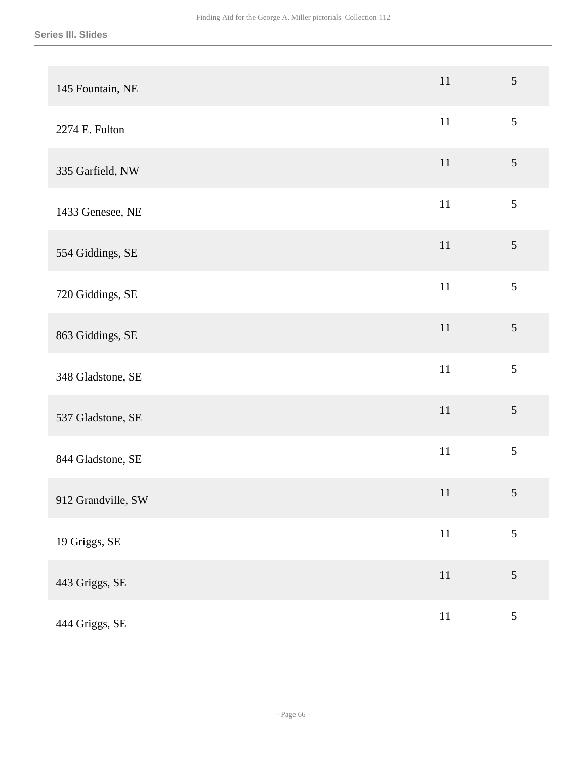| 145 Fountain, NE   | 11     | $\mathfrak{S}$ |
|--------------------|--------|----------------|
| 2274 E. Fulton     | 11     | $\sqrt{5}$     |
| 335 Garfield, NW   | $11\,$ | $\sqrt{5}$     |
| 1433 Genesee, NE   | $11\,$ | $\sqrt{5}$     |
| 554 Giddings, SE   | $11\,$ | 5              |
| 720 Giddings, SE   | $11\,$ | 5              |
| 863 Giddings, SE   | 11     | 5              |
| 348 Gladstone, SE  | 11     | 5              |
| 537 Gladstone, SE  | 11     | 5              |
| 844 Gladstone, SE  | $11\,$ | 5              |
| 912 Grandville, SW | 11     | 5              |
| 19 Griggs, SE      | $11\,$ | $\mathfrak{S}$ |
| 443 Griggs, SE     | $11\,$ | $\sqrt{5}$     |
| 444 Griggs, SE     | $11\,$ | $\mathfrak{S}$ |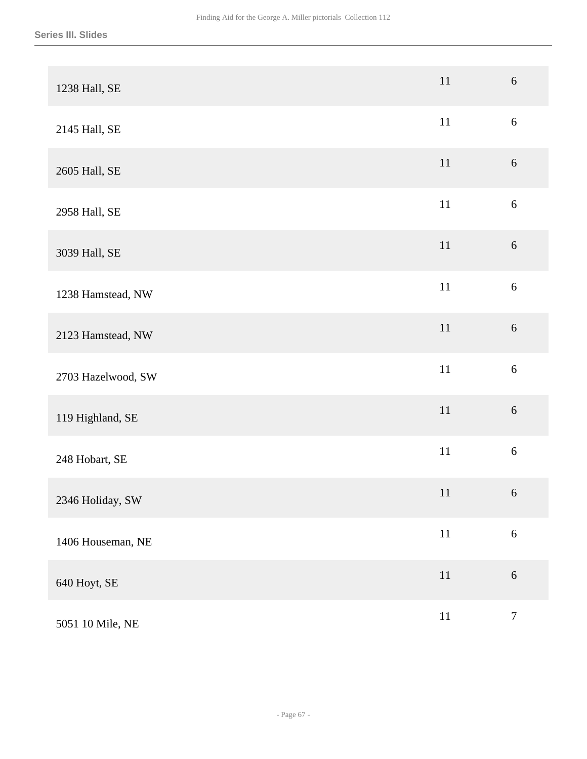| 1238 Hall, SE      | 11     | $6\,$            |
|--------------------|--------|------------------|
| 2145 Hall, SE      | $11\,$ | $\sqrt{6}$       |
| 2605 Hall, SE      | $11\,$ | 6                |
| 2958 Hall, SE      | $11\,$ | $6\,$            |
| 3039 Hall, SE      | $11\,$ | $6\,$            |
| 1238 Hamstead, NW  | $11\,$ | $\boldsymbol{6}$ |
| 2123 Hamstead, NW  | $11\,$ | $\sqrt{6}$       |
| 2703 Hazelwood, SW | 11     | 6                |
| 119 Highland, SE   | $11\,$ | 6                |
| 248 Hobart, SE     | $11\,$ | $\boldsymbol{6}$ |
| 2346 Holiday, SW   | 11     | $\sqrt{6}$       |
| 1406 Houseman, NE  | $11\,$ | $6\,$            |
| 640 Hoyt, SE       | $11\,$ | $\sqrt{6}$       |
| 5051 10 Mile, NE   | $11\,$ | $\tau$           |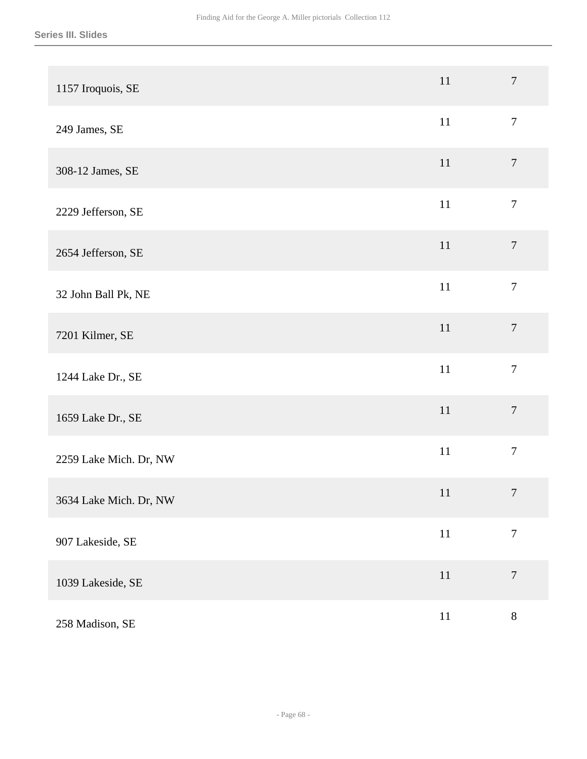| 1157 Iroquois, SE      | 11     | $\overline{7}$   |
|------------------------|--------|------------------|
| 249 James, SE          | $11\,$ | $\boldsymbol{7}$ |
| 308-12 James, SE       | 11     | $\boldsymbol{7}$ |
| 2229 Jefferson, SE     | $11\,$ | $\boldsymbol{7}$ |
| 2654 Jefferson, SE     | 11     | $\boldsymbol{7}$ |
| 32 John Ball Pk, NE    | $11\,$ | $\overline{7}$   |
| 7201 Kilmer, SE        | $11\,$ | $\overline{7}$   |
| 1244 Lake Dr., SE      | $11\,$ | $\overline{7}$   |
| 1659 Lake Dr., SE      | 11     | $\overline{7}$   |
| 2259 Lake Mich. Dr, NW | $11\,$ | $\overline{7}$   |
| 3634 Lake Mich. Dr, NW | 11     | $\tau$           |
| 907 Lakeside, SE       | $11\,$ | $\boldsymbol{7}$ |
| 1039 Lakeside, SE      | $11\,$ | $\boldsymbol{7}$ |
| 258 Madison, SE        | $11\,$ | $8\,$            |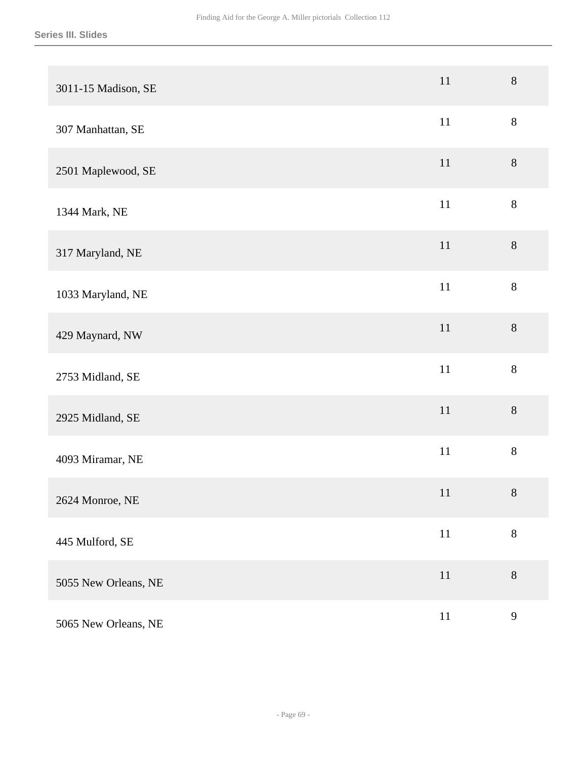| 3011-15 Madison, SE  | $11\,$ | 8            |
|----------------------|--------|--------------|
| 307 Manhattan, SE    | $11\,$ | $8\,$        |
| 2501 Maplewood, SE   | 11     | $8\,$        |
| 1344 Mark, NE        | 11     | $8\,$        |
| 317 Maryland, NE     | $11\,$ | $8\,$        |
| 1033 Maryland, NE    | $11\,$ | $8\,$        |
| 429 Maynard, NW      | $11\,$ | $8\,$        |
| 2753 Midland, SE     | $11\,$ | $8\,$        |
| 2925 Midland, SE     | 11     | $8\,$        |
| 4093 Miramar, NE     | $11\,$ | $8\,$        |
| 2624 Monroe, NE      | 11     | $8\,$        |
| 445 Mulford, SE      | $11\,$ | $\,8\,$      |
| 5055 New Orleans, NE | $11\,$ | $8\,$        |
| 5065 New Orleans, NE | $11\,$ | $\mathbf{9}$ |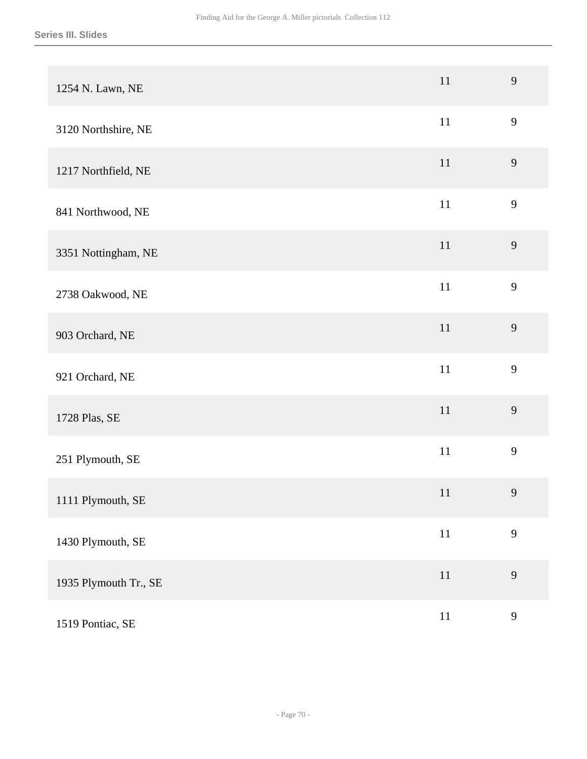| 1254 N. Lawn, NE      | $11\,$ | 9 |
|-----------------------|--------|---|
| 3120 Northshire, NE   | $11\,$ | 9 |
| 1217 Northfield, NE   | 11     | 9 |
| 841 Northwood, NE     | $11\,$ | 9 |
| 3351 Nottingham, NE   | $11\,$ | 9 |
| 2738 Oakwood, NE      | $11\,$ | 9 |
| 903 Orchard, NE       | $11\,$ | 9 |
| 921 Orchard, NE       | $11\,$ | 9 |
| 1728 Plas, SE         | $11\,$ | 9 |
| 251 Plymouth, SE      | $11\,$ | 9 |
| 1111 Plymouth, SE     | 11     | 9 |
| 1430 Plymouth, SE     | $11\,$ | 9 |
| 1935 Plymouth Tr., SE | $11\,$ | 9 |
| 1519 Pontiac, SE      | $11\,$ | 9 |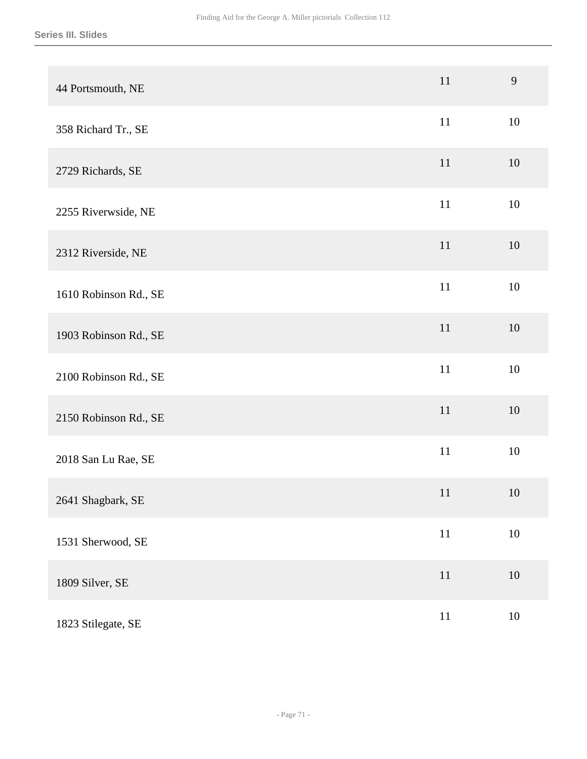| 44 Portsmouth, NE     | 11     | 9      |
|-----------------------|--------|--------|
| 358 Richard Tr., SE   | 11     | 10     |
| 2729 Richards, SE     | 11     | 10     |
| 2255 Riverwside, NE   | 11     | 10     |
| 2312 Riverside, NE    | 11     | 10     |
| 1610 Robinson Rd., SE | $11\,$ | 10     |
| 1903 Robinson Rd., SE | 11     | 10     |
| 2100 Robinson Rd., SE | 11     | 10     |
| 2150 Robinson Rd., SE | 11     | 10     |
| 2018 San Lu Rae, SE   | $11\,$ | 10     |
| 2641 Shagbark, SE     | 11     | 10     |
| 1531 Sherwood, SE     | $11\,$ | $10\,$ |
| 1809 Silver, SE       | $11\,$ | $10\,$ |
| 1823 Stilegate, SE    | $11\,$ | $10\,$ |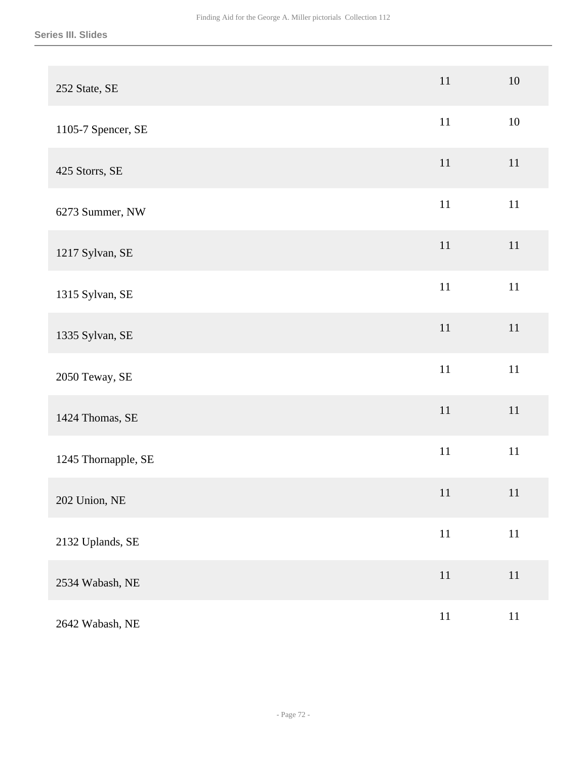| 252 State, SE       | 11     | 10     |
|---------------------|--------|--------|
| 1105-7 Spencer, SE  | $11\,$ | $10\,$ |
| 425 Storrs, SE      | $11\,$ | 11     |
| 6273 Summer, NW     | $11\,$ | $11\,$ |
| 1217 Sylvan, SE     | $11\,$ | 11     |
| 1315 Sylvan, SE     | $11\,$ | $11\,$ |
| 1335 Sylvan, SE     | $11\,$ | $11\,$ |
| 2050 Teway, SE      | $11\,$ | $11\,$ |
| 1424 Thomas, SE     | 11     | $11\,$ |
| 1245 Thornapple, SE | $11\,$ | $11\,$ |
| 202 Union, NE       | 11     | 11     |
| 2132 Uplands, SE    | $11\,$ | $11\,$ |
| 2534 Wabash, NE     | $11\,$ | 11     |
| 2642 Wabash, NE     | $11\,$ | $11\,$ |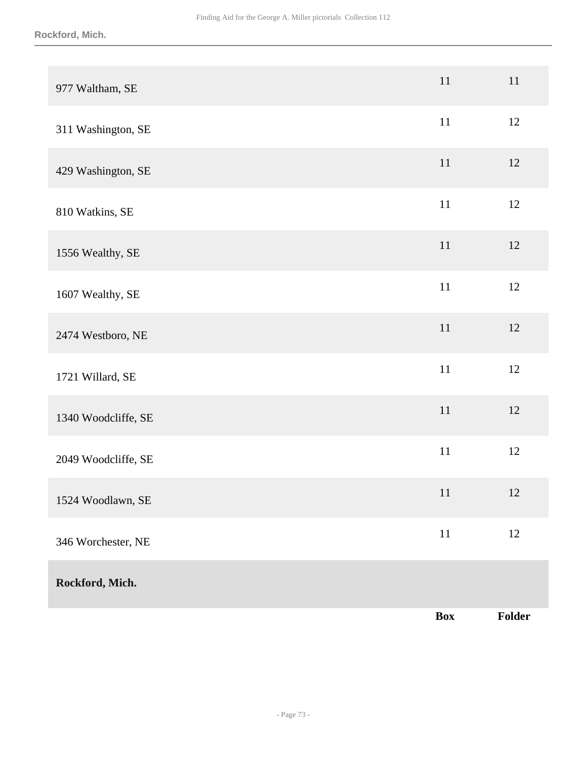| 977 Waltham, SE     | 11             | 11     |
|---------------------|----------------|--------|
| 311 Washington, SE  | $11\,$         | 12     |
| 429 Washington, SE  | $11\,$         | 12     |
| 810 Watkins, SE     | $11\,$         | $12\,$ |
| 1556 Wealthy, SE    | $11\,$         | 12     |
| 1607 Wealthy, SE    | $11\,$         | $12\,$ |
| 2474 Westboro, NE   | $11\,$         | $12\,$ |
| 1721 Willard, SE    | 11             | 12     |
| 1340 Woodcliffe, SE | $11\,$         | $12\,$ |
| 2049 Woodcliffe, SE | $11\,$         | 12     |
| 1524 Woodlawn, SE   | 11             | 12     |
| 346 Worchester, NE  | $11\,$         | $12\,$ |
| Rockford, Mich.     |                |        |
|                     | $\mathbf{Box}$ | Folder |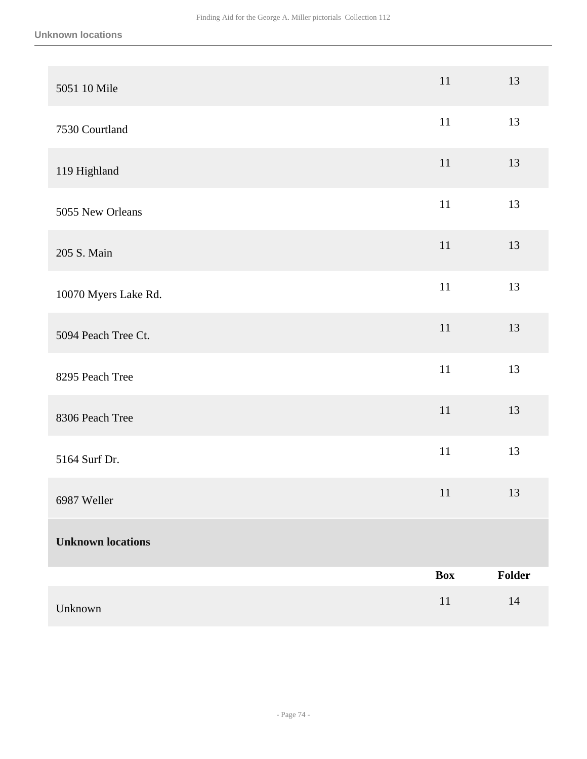| 5051 10 Mile             | 11         | 13     |
|--------------------------|------------|--------|
| 7530 Courtland           | $11\,$     | 13     |
| 119 Highland             | 11         | 13     |
| 5055 New Orleans         | $11\,$     | 13     |
| 205 S. Main              | 11         | 13     |
| 10070 Myers Lake Rd.     | $11\,$     | 13     |
| 5094 Peach Tree Ct.      | $11\,$     | 13     |
| 8295 Peach Tree          | $11\,$     | 13     |
| 8306 Peach Tree          | $11\,$     | 13     |
| 5164 Surf Dr.            | $11\,$     | 13     |
| 6987 Weller              | 11         | 13     |
| <b>Unknown locations</b> |            |        |
|                          | <b>Box</b> | Folder |
| Unknown                  | $11\,$     | 14     |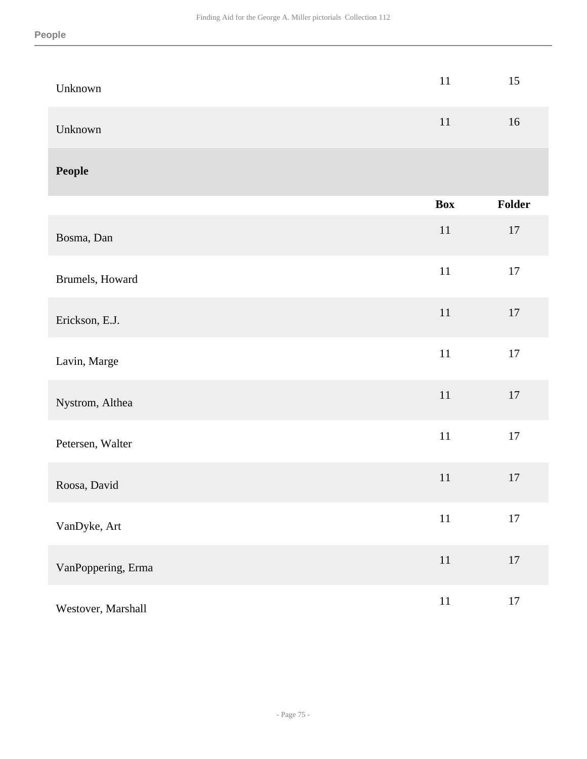| Unknown            | $11\,$     | 15     |
|--------------------|------------|--------|
| Unknown            | $11\,$     | 16     |
| People             |            |        |
|                    | <b>Box</b> | Folder |
| Bosma, Dan         | $11\,$     | $17\,$ |
| Brumels, Howard    | $11\,$     | 17     |
| Erickson, E.J.     | $11\,$     | $17\,$ |
| Lavin, Marge       | $11\,$     | 17     |
| Nystrom, Althea    | $11\,$     | $17\,$ |
| Petersen, Walter   | $11\,$     | $17\,$ |
| Roosa, David       | $11\,$     | $17\,$ |
| VanDyke, Art       | $11\,$     | $17\,$ |
| VanPoppering, Erma | $11\,$     | $17\,$ |
| Westover, Marshall | $11\,$     | 17     |